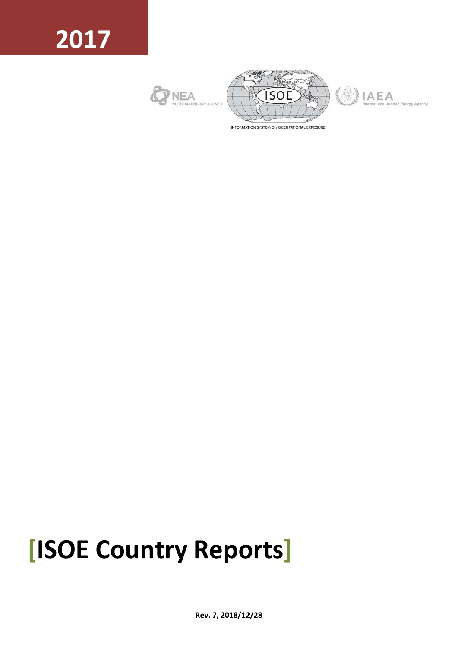







INFORMATION SYSTEM ON OCCUPATIONAL EXPOSURE

# **[ISOE Country Reports]**

**Rev. 7, 2018/12/28**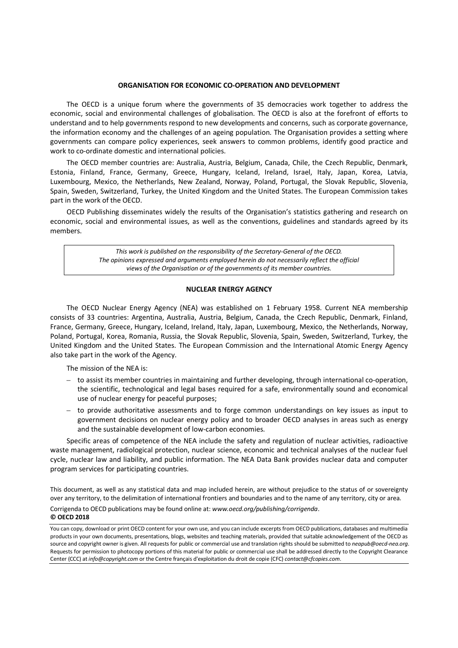#### **ORGANISATION FOR ECONOMIC CO-OPERATION AND DEVELOPMENT**

The OECD is a unique forum where the governments of 35 democracies work together to address the economic, social and environmental challenges of globalisation. The OECD is also at the forefront of efforts to understand and to help governments respond to new developments and concerns, such as corporate governance, the information economy and the challenges of an ageing population. The Organisation provides a setting where governments can compare policy experiences, seek answers to common problems, identify good practice and work to co-ordinate domestic and international policies.

The OECD member countries are: Australia, Austria, Belgium, Canada, Chile, the Czech Republic, Denmark, Estonia, Finland, France, Germany, Greece, Hungary, Iceland, Ireland, Israel, Italy, Japan, Korea, Latvia, Luxembourg, Mexico, the Netherlands, New Zealand, Norway, Poland, Portugal, the Slovak Republic, Slovenia, Spain, Sweden, Switzerland, Turkey, the United Kingdom and the United States. The European Commission takes part in the work of the OECD.

OECD Publishing disseminates widely the results of the Organisation's statistics gathering and research on economic, social and environmental issues, as well as the conventions, guidelines and standards agreed by its members.

> *This work is published on the responsibility of the Secretary-General of the OECD. The opinions expressed and arguments employed herein do not necessarily reflect the official views of the Organisation or of the governments of its member countries.*

#### **NUCLEAR ENERGY AGENCY**

The OECD Nuclear Energy Agency (NEA) was established on 1 February 1958. Current NEA membership consists of 33 countries: Argentina, Australia, Austria, Belgium, Canada, the Czech Republic, Denmark, Finland, France, Germany, Greece, Hungary, Iceland, Ireland, Italy, Japan, Luxembourg, Mexico, the Netherlands, Norway, Poland, Portugal, Korea, Romania, Russia, the Slovak Republic, Slovenia, Spain, Sweden, Switzerland, Turkey, the United Kingdom and the United States. The European Commission and the International Atomic Energy Agency also take part in the work of the Agency.

The mission of the NEA is:

- to assist its member countries in maintaining and further developing, through international co-operation, the scientific, technological and legal bases required for a safe, environmentally sound and economical use of nuclear energy for peaceful purposes;
- to provide authoritative assessments and to forge common understandings on key issues as input to government decisions on nuclear energy policy and to broader OECD analyses in areas such as energy and the sustainable development of low-carbon economies.

Specific areas of competence of the NEA include the safety and regulation of nuclear activities, radioactive waste management, radiological protection, nuclear science, economic and technical analyses of the nuclear fuel cycle, nuclear law and liability, and public information. The NEA Data Bank provides nuclear data and computer program services for participating countries.

This document, as well as any statistical data and map included herein, are without prejudice to the status of or sovereignty over any territory, to the delimitation of international frontiers and boundaries and to the name of any territory, city or area.

Corrigenda to OECD publications may be found online at: *www.oecd.org/publishing/corrigenda*.

#### **© OECD 2018**

You can copy, download or print OECD content for your own use, and you can include excerpts from OECD publications, databases and multimedia products in your own documents, presentations, blogs, websites and teaching materials, provided that suitable acknowledgement of the OECD as source and copyright owner is given. All requests for public or commercial use and translation rights should be submitted to *neapub@oecd-nea.org*. Requests for permission to photocopy portions of this material for public or commercial use shall be addressed directly to the Copyright Clearance Center (CCC) at *info@copyright.com* or the Centre français d'exploitation du droit de copie (CFC) *contact@cfcopies.com*.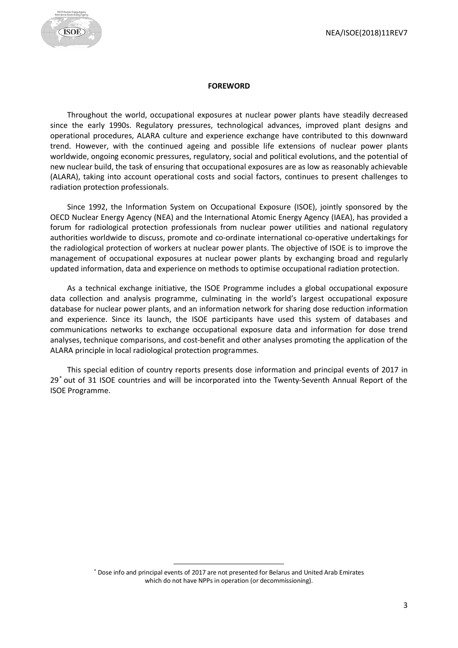

#### **FOREWORD**

<span id="page-2-1"></span>Throughout the world, occupational exposures at nuclear power plants have steadily decreased since the early 1990s. Regulatory pressures, technological advances, improved plant designs and operational procedures, ALARA culture and experience exchange have contributed to this downward trend. However, with the continued ageing and possible life extensions of nuclear power plants worldwide, ongoing economic pressures, regulatory, social and political evolutions, and the potential of new nuclear build, the task of ensuring that occupational exposures are as low as reasonably achievable (ALARA), taking into account operational costs and social factors, continues to present challenges to radiation protection professionals.

Since 1992, the Information System on Occupational Exposure (ISOE), jointly sponsored by the OECD Nuclear Energy Agency (NEA) and the International Atomic Energy Agency (IAEA), has provided a forum for radiological protection professionals from nuclear power utilities and national regulatory authorities worldwide to discuss, promote and co-ordinate international co-operative undertakings for the radiological protection of workers at nuclear power plants. The objective of ISOE is to improve the management of occupational exposures at nuclear power plants by exchanging broad and regularly updated information, data and experience on methods to optimise occupational radiation protection.

As a technical exchange initiative, the ISOE Programme includes a global occupational exposure data collection and analysis programme, culminating in the world's largest occupational exposure database for nuclear power plants, and an information network for sharing dose reduction information and experience. Since its launch, the ISOE participants have used this system of databases and communications networks to exchange occupational exposure data and information for dose trend analyses, technique comparisons, and cost-benefit and other analyses promoting the application of the ALARA principle in local radiological protection programmes.

This special edition of country reports presents dose information and principal events of 2017 in 29[\\*](#page-2-0) out of 31 ISOE countries and will be incorporated into the Twenty-Seventh Annual Report of the ISOE Programme.

<span id="page-2-0"></span> <sup>\*</sup> Dose info and principal events of 2017 are not presented for Belarus and United Arab Emirates which do not have NPPs in operation (or decommissioning).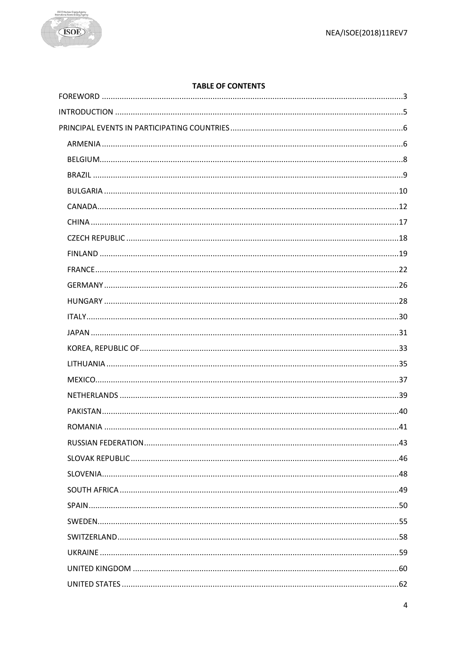

# **TABLE OF CONTENTS**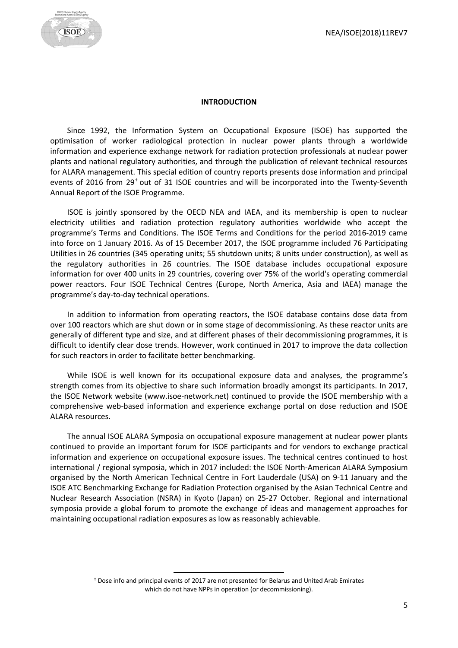

#### **INTRODUCTION**

<span id="page-4-0"></span>Since 1992, the Information System on Occupational Exposure (ISOE) has supported the optimisation of worker radiological protection in nuclear power plants through a worldwide information and experience exchange network for radiation protection professionals at nuclear power plants and national regulatory authorities, and through the publication of relevant technical resources for ALARA management. This special edition of country reports presents dose information and principal events of 2016 from 29[†](#page-4-1) out of 31 ISOE countries and will be incorporated into the Twenty-Seventh Annual Report of the ISOE Programme.

ISOE is jointly sponsored by the OECD NEA and IAEA, and its membership is open to nuclear electricity utilities and radiation protection regulatory authorities worldwide who accept the programme's Terms and Conditions. The ISOE Terms and Conditions for the period 2016-2019 came into force on 1 January 2016. As of 15 December 2017, the ISOE programme included 76 Participating Utilities in 26 countries (345 operating units; 55 shutdown units; 8 units under construction), as well as the regulatory authorities in 26 countries. The ISOE database includes occupational exposure information for over 400 units in 29 countries, covering over 75% of the world's operating commercial power reactors. Four ISOE Technical Centres (Europe, North America, Asia and IAEA) manage the programme's day-to-day technical operations.

In addition to information from operating reactors, the ISOE database contains dose data from over 100 reactors which are shut down or in some stage of decommissioning. As these reactor units are generally of different type and size, and at different phases of their decommissioning programmes, it is difficult to identify clear dose trends. However, work continued in 2017 to improve the data collection for such reactors in order to facilitate better benchmarking.

While ISOE is well known for its occupational exposure data and analyses, the programme's strength comes from its objective to share such information broadly amongst its participants. In 2017, the ISOE Network website (www.isoe-network.net) continued to provide the ISOE membership with a comprehensive web-based information and experience exchange portal on dose reduction and ISOE ALARA resources.

The annual ISOE ALARA Symposia on occupational exposure management at nuclear power plants continued to provide an important forum for ISOE participants and for vendors to exchange practical information and experience on occupational exposure issues. The technical centres continued to host international / regional symposia, which in 2017 included: the ISOE North-American ALARA Symposium organised by the North American Technical Centre in Fort Lauderdale (USA) on 9-11 January and the ISOE ATC Benchmarking Exchange for Radiation Protection organised by the Asian Technical Centre and Nuclear Research Association (NSRA) in Kyoto (Japan) on 25-27 October. Regional and international symposia provide a global forum to promote the exchange of ideas and management approaches for maintaining occupational radiation exposures as low as reasonably achievable.

<span id="page-4-1"></span> <sup>†</sup> Dose info and principal events of 2017 are not presented for Belarus and United Arab Emirates which do not have NPPs in operation (or decommissioning).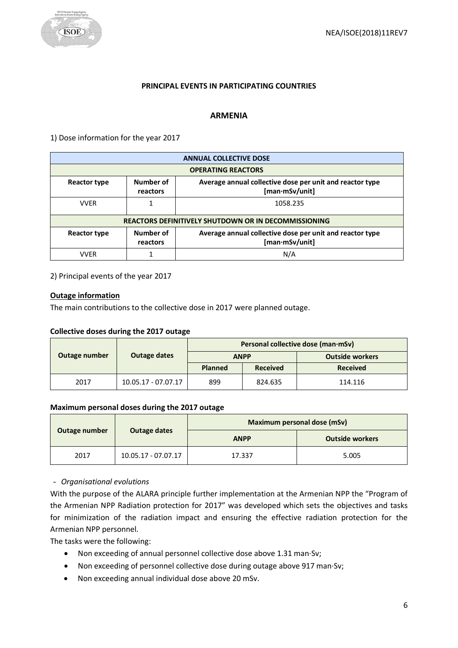

#### **PRINCIPAL EVENTS IN PARTICIPATING COUNTRIES**

#### **ARMENIA**

<span id="page-5-1"></span><span id="page-5-0"></span>1) Dose information for the year 2017

| <b>ANNUAL COLLECTIVE DOSE</b> |                                                             |                                                                            |  |  |
|-------------------------------|-------------------------------------------------------------|----------------------------------------------------------------------------|--|--|
|                               | <b>OPERATING REACTORS</b>                                   |                                                                            |  |  |
| Reactor type                  | Number of<br>reactors                                       | Average annual collective dose per unit and reactor type<br>[man·mSv/unit] |  |  |
| <b>VVFR</b>                   |                                                             | 1058.235                                                                   |  |  |
|                               | <b>REACTORS DEFINITIVELY SHUTDOWN OR IN DECOMMISSIONING</b> |                                                                            |  |  |
| <b>Reactor type</b>           | Number of<br>reactors                                       | Average annual collective dose per unit and reactor type<br>[man·mSv/unit] |  |  |
| <b>VVFR</b>                   |                                                             | N/A                                                                        |  |  |

2) Principal events of the year 2017

#### **Outage information**

The main contributions to the collective dose in 2017 were planned outage.

#### **Collective doses during the 2017 outage**

|               |                     | Personal collective dose (man·mSv) |                 |                        |  |
|---------------|---------------------|------------------------------------|-----------------|------------------------|--|
| Outage number | <b>Outage dates</b> | <b>ANPP</b>                        |                 | <b>Outside workers</b> |  |
|               |                     | <b>Planned</b>                     | <b>Received</b> | <b>Received</b>        |  |
| 2017          | 10.05.17 - 07.07.17 | 899                                | 824.635         | 114.116                |  |

#### **Maximum personal doses during the 2017 outage**

| Outage number<br>Outage dates |                     | Maximum personal dose (mSv) |                        |  |
|-------------------------------|---------------------|-----------------------------|------------------------|--|
|                               |                     | <b>ANPP</b>                 | <b>Outside workers</b> |  |
| 2017                          | 10.05.17 - 07.07.17 | 17.337                      | 5.005                  |  |

- *Organisational evolutions*

With the purpose of the ALARA principle further implementation at the Armenian NPP the "Program of the Armenian NPP Radiation protection for 2017" was developed which sets the objectives and tasks for minimization of the radiation impact and ensuring the effective radiation protection for the Armenian NPP personnel.

The tasks were the following:

- Non exceeding of annual personnel collective dose above 1.31 man·Sv;
- Non exceeding of personnel collective dose during outage above 917 man·Sv;
- Non exceeding annual individual dose above 20 mSv.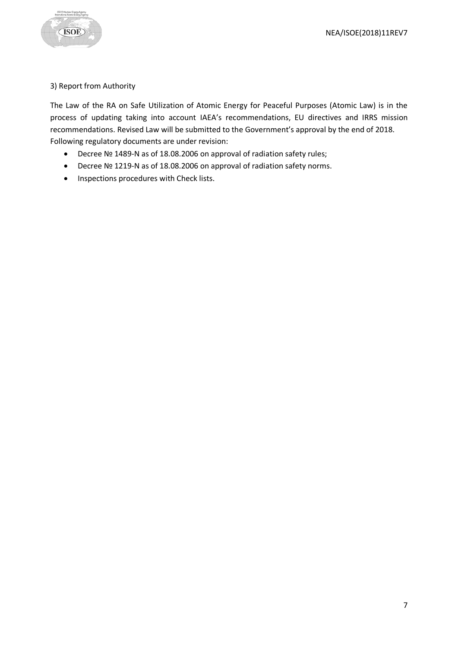

## 3) Report from Authority

The Law of the RA on Safe Utilization of Atomic Energy for Peaceful Purposes (Atomic Law) is in the process of updating taking into account IAEA's recommendations, EU directives and IRRS mission recommendations. Revised Law will be submitted to the Government's approval by the end of 2018. Following regulatory documents are under revision:

- Decree № 1489-N as of 18.08.2006 on approval of radiation safety rules;
- Decree № 1219-N as of 18.08.2006 on approval of radiation safety norms.
- Inspections procedures with Check lists.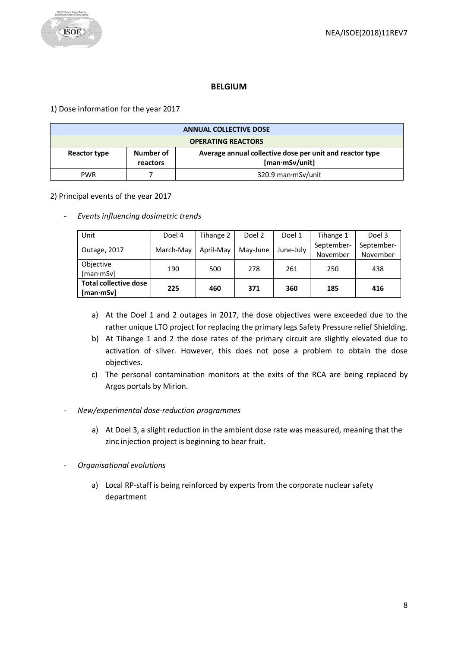## **BELGIUM**

<span id="page-7-0"></span>1) Dose information for the year 2017

| <b>ANNUAL COLLECTIVE DOSE</b> |                       |                                                                            |  |
|-------------------------------|-----------------------|----------------------------------------------------------------------------|--|
| <b>OPERATING REACTORS</b>     |                       |                                                                            |  |
| Reactor type                  | Number of<br>reactors | Average annual collective dose per unit and reactor type<br>[man·mSv/unit] |  |
| <b>PWR</b>                    |                       | 320.9 man mSv/unit                                                         |  |

## 2) Principal events of the year 2017

- *Events influencing dosimetric trends* 

| Unit                                                    | Doel 4    | Tihange 2 | Doel 2   | Doel 1    | Tihange 1              | Doel 3                 |
|---------------------------------------------------------|-----------|-----------|----------|-----------|------------------------|------------------------|
| Outage, 2017                                            | March-May | April-May | May-June | June-Julv | September-<br>November | September-<br>November |
| Objective<br>[man·mSv]                                  | 190       | 500       | 278      | 261       | 250                    | 438                    |
| <b>Total collective dose</b><br>$[$ man $\cdot$ mSv $]$ | 225       | 460       | 371      | 360       | 185                    | 416                    |

- a) At the Doel 1 and 2 outages in 2017, the dose objectives were exceeded due to the rather unique LTO project for replacing the primary legs Safety Pressure relief Shielding.
- b) At Tihange 1 and 2 the dose rates of the primary circuit are slightly elevated due to activation of silver. However, this does not pose a problem to obtain the dose objectives.
- c) The personal contamination monitors at the exits of the RCA are being replaced by Argos portals by Mirion.
- *New/experimental dose-reduction programmes*
	- a) At Doel 3, a slight reduction in the ambient dose rate was measured, meaning that the zinc injection project is beginning to bear fruit.
- *Organisational evolutions*
	- a) Local RP-staff is being reinforced by experts from the corporate nuclear safety department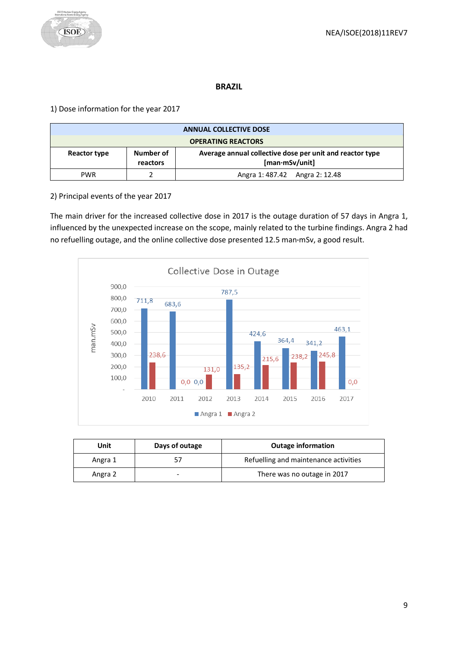

## **BRAZIL**

<span id="page-8-0"></span>1) Dose information for the year 2017

| <b>ANNUAL COLLECTIVE DOSE</b>                                                                                       |  |                                |  |  |
|---------------------------------------------------------------------------------------------------------------------|--|--------------------------------|--|--|
| <b>OPERATING REACTORS</b>                                                                                           |  |                                |  |  |
| Number of<br>Average annual collective dose per unit and reactor type<br>Reactor type<br>[man·mSv/unit]<br>reactors |  |                                |  |  |
| <b>PWR</b>                                                                                                          |  | Angra 1: 487.42 Angra 2: 12.48 |  |  |

2) Principal events of the year 2017

The main driver for the increased collective dose in 2017 is the outage duration of 57 days in Angra 1, influenced by the unexpected increase on the scope, mainly related to the turbine findings. Angra 2 had no refuelling outage, and the online collective dose presented 12.5 man**·**mSv, a good result.



| Unit    | Days of outage | <b>Outage information</b>             |
|---------|----------------|---------------------------------------|
| Angra 1 |                | Refuelling and maintenance activities |
| Angra 2 |                | There was no outage in 2017           |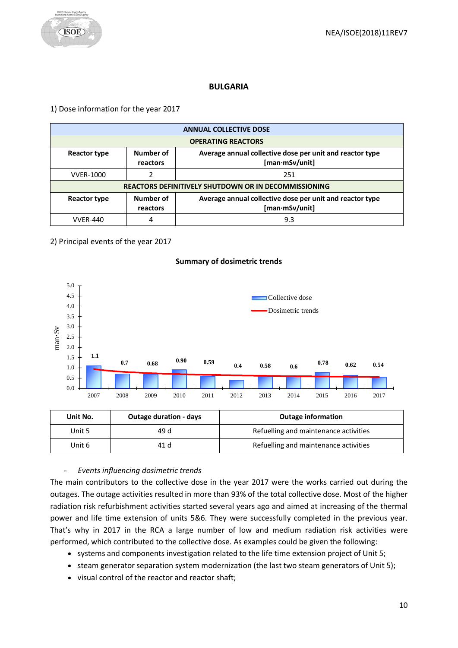

#### **BULGARIA**

<span id="page-9-0"></span>1) Dose information for the year 2017

| <b>ANNUAL COLLECTIVE DOSE</b> |                                                      |                                                                            |  |  |
|-------------------------------|------------------------------------------------------|----------------------------------------------------------------------------|--|--|
|                               | <b>OPERATING REACTORS</b>                            |                                                                            |  |  |
| Reactor type                  | Number of<br>reactors                                | Average annual collective dose per unit and reactor type<br>[man·mSv/unit] |  |  |
| <b>VVER-1000</b>              |                                                      | 251                                                                        |  |  |
|                               | REACTORS DEFINITIVELY SHUTDOWN OR IN DECOMMISSIONING |                                                                            |  |  |
| <b>Reactor type</b>           | Number of<br>reactors                                | Average annual collective dose per unit and reactor type<br>[man·mSv/unit] |  |  |
| <b>VVER-440</b>               |                                                      | 9.3                                                                        |  |  |

2) Principal events of the year 2017



#### **Summary of dosimetric trends**

| Unit No. | <b>Outage duration - days</b> | <b>Outage information</b>             |
|----------|-------------------------------|---------------------------------------|
| Unit 5   | 49 d                          | Refuelling and maintenance activities |
| Unit 6   | 41 d                          | Refuelling and maintenance activities |

# - *Events influencing dosimetric trends*

The main contributors to the collective dose in the year 2017 were the works carried out during the outages. The outage activities resulted in more than 93% of the total collective dose. Most of the higher radiation risk refurbishment activities started several years ago and aimed at increasing of the thermal power and life time extension of units 5&6. They were successfully completed in the previous year. That's why in 2017 in the RCA a large number of low and medium radiation risk activities were performed, which contributed to the collective dose. As examples could be given the following:

- systems and components investigation related to the life time extension project of Unit 5;
- steam generator separation system modernization (the last two steam generators of Unit 5);
- visual control of the reactor and reactor shaft;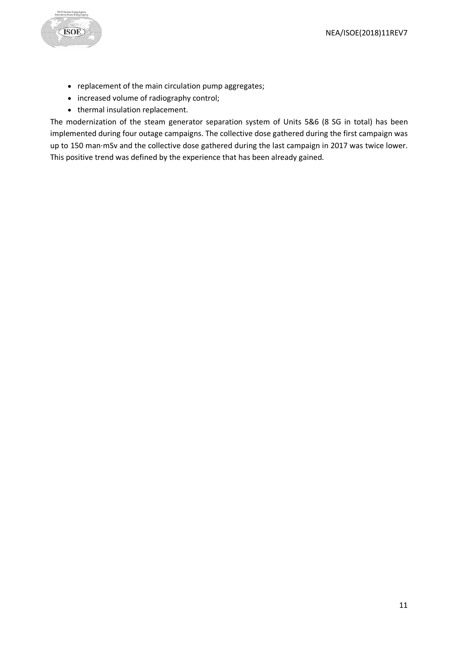

- replacement of the main circulation pump aggregates;
- increased volume of radiography control;
- thermal insulation replacement.

The modernization of the steam generator separation system of Units 5&6 (8 SG in total) has been implemented during four outage campaigns. The collective dose gathered during the first campaign was up to 150 man·mSv and the collective dose gathered during the last campaign in 2017 was twice lower. This positive trend was defined by the experience that has been already gained.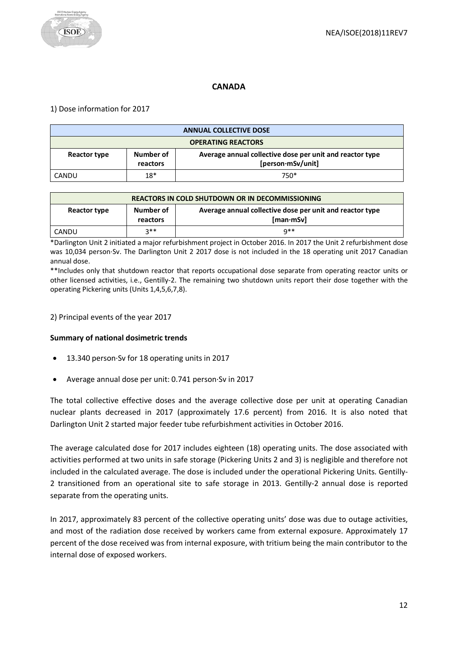# **CANADA**

## <span id="page-11-0"></span>1) Dose information for 2017

| <b>ANNUAL COLLECTIVE DOSE</b> |                       |                                                                               |  |
|-------------------------------|-----------------------|-------------------------------------------------------------------------------|--|
| <b>OPERATING REACTORS</b>     |                       |                                                                               |  |
| Reactor type                  | Number of<br>reactors | Average annual collective dose per unit and reactor type<br>[person·mSv/unit] |  |
| CANDU                         | $18*$                 | $750*$                                                                        |  |

| <b>REACTORS IN COLD SHUTDOWN OR IN DECOMMISSIONING</b> |                       |                                                                               |  |
|--------------------------------------------------------|-----------------------|-------------------------------------------------------------------------------|--|
| Reactor type                                           | Number of<br>reactors | Average annual collective dose per unit and reactor type<br>$[man \cdot mSv]$ |  |
| CANDU                                                  | <b>つ**</b>            | $Q**$                                                                         |  |

\*Darlington Unit 2 initiated a major refurbishment project in October 2016. In 2017 the Unit 2 refurbishment dose was 10,034 person·Sv. The Darlington Unit 2 2017 dose is not included in the 18 operating unit 2017 Canadian annual dose.

\*\*Includes only that shutdown reactor that reports occupational dose separate from operating reactor units or other licensed activities, i.e., Gentilly-2. The remaining two shutdown units report their dose together with the operating Pickering units (Units 1,4,5,6,7,8).

#### 2) Principal events of the year 2017

## **Summary of national dosimetric trends**

- 13.340 person·Sv for 18 operating units in 2017
- Average annual dose per unit: 0.741 person·Sv in 2017

The total collective effective doses and the average collective dose per unit at operating Canadian nuclear plants decreased in 2017 (approximately 17.6 percent) from 2016. It is also noted that Darlington Unit 2 started major feeder tube refurbishment activities in October 2016.

The average calculated dose for 2017 includes eighteen (18) operating units. The dose associated with activities performed at two units in safe storage (Pickering Units 2 and 3) is negligible and therefore not included in the calculated average. The dose is included under the operational Pickering Units. Gentilly-2 transitioned from an operational site to safe storage in 2013. Gentilly-2 annual dose is reported separate from the operating units.

In 2017, approximately 83 percent of the collective operating units' dose was due to outage activities, and most of the radiation dose received by workers came from external exposure. Approximately 17 percent of the dose received was from internal exposure, with tritium being the main contributor to the internal dose of exposed workers.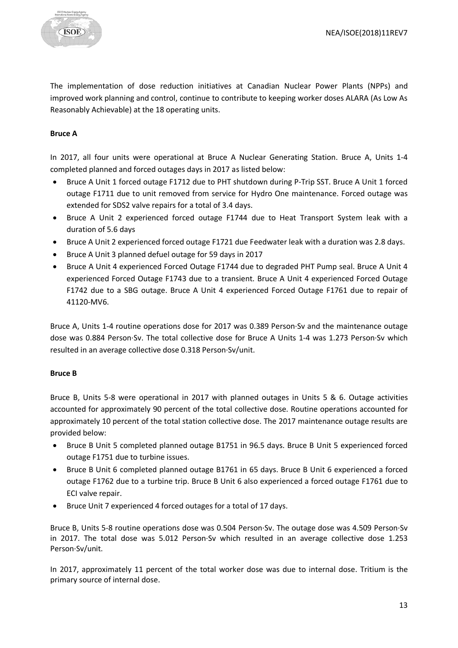The implementation of dose reduction initiatives at Canadian Nuclear Power Plants (NPPs) and improved work planning and control, continue to contribute to keeping worker doses ALARA (As Low As Reasonably Achievable) at the 18 operating units.

#### **Bruce A**

In 2017, all four units were operational at Bruce A Nuclear Generating Station. Bruce A, Units 1-4 completed planned and forced outages days in 2017 as listed below:

- Bruce A Unit 1 forced outage F1712 due to PHT shutdown during P-Trip SST. Bruce A Unit 1 forced outage F1711 due to unit removed from service for Hydro One maintenance. Forced outage was extended for SDS2 valve repairs for a total of 3.4 days.
- Bruce A Unit 2 experienced forced outage F1744 due to Heat Transport System leak with a duration of 5.6 days
- Bruce A Unit 2 experienced forced outage F1721 due Feedwater leak with a duration was 2.8 days.
- Bruce A Unit 3 planned defuel outage for 59 days in 2017
- Bruce A Unit 4 experienced Forced Outage F1744 due to degraded PHT Pump seal. Bruce A Unit 4 experienced Forced Outage F1743 due to a transient. Bruce A Unit 4 experienced Forced Outage F1742 due to a SBG outage. Bruce A Unit 4 experienced Forced Outage F1761 due to repair of 41120-MV6.

Bruce A, Units 1-4 routine operations dose for 2017 was 0.389 Person·Sv and the maintenance outage dose was 0.884 Person·Sv. The total collective dose for Bruce A Units 1-4 was 1.273 Person·Sv which resulted in an average collective dose 0.318 Person·Sv/unit.

#### **Bruce B**

Bruce B, Units 5-8 were operational in 2017 with planned outages in Units 5 & 6. Outage activities accounted for approximately 90 percent of the total collective dose. Routine operations accounted for approximately 10 percent of the total station collective dose. The 2017 maintenance outage results are provided below:

- Bruce B Unit 5 completed planned outage B1751 in 96.5 days. Bruce B Unit 5 experienced forced outage F1751 due to turbine issues.
- Bruce B Unit 6 completed planned outage B1761 in 65 days. Bruce B Unit 6 experienced a forced outage F1762 due to a turbine trip. Bruce B Unit 6 also experienced a forced outage F1761 due to ECI valve repair.
- Bruce Unit 7 experienced 4 forced outages for a total of 17 days.

Bruce B, Units 5-8 routine operations dose was 0.504 Person·Sv. The outage dose was 4.509 Person·Sv in 2017. The total dose was 5.012 Person·Sv which resulted in an average collective dose 1.253 Person·Sv/unit.

In 2017, approximately 11 percent of the total worker dose was due to internal dose. Tritium is the primary source of internal dose.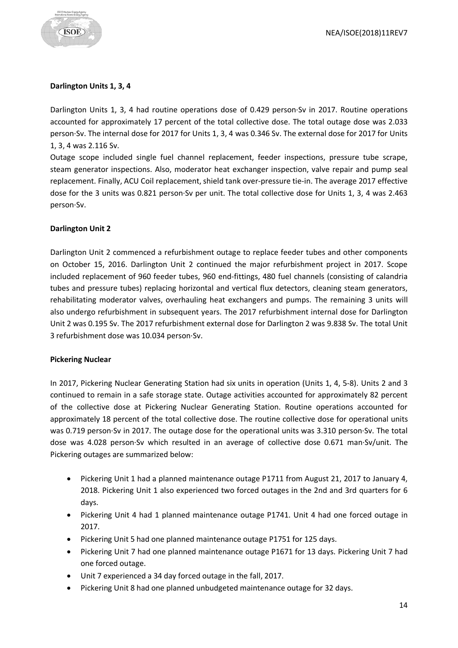

#### **Darlington Units 1, 3, 4**

Darlington Units 1, 3, 4 had routine operations dose of 0.429 person·Sv in 2017. Routine operations accounted for approximately 17 percent of the total collective dose. The total outage dose was 2.033 person·Sv. The internal dose for 2017 for Units 1, 3, 4 was 0.346 Sv. The external dose for 2017 for Units 1, 3, 4 was 2.116 Sv.

Outage scope included single fuel channel replacement, feeder inspections, pressure tube scrape, steam generator inspections. Also, moderator heat exchanger inspection, valve repair and pump seal replacement. Finally, ACU Coil replacement, shield tank over-pressure tie-in. The average 2017 effective dose for the 3 units was 0.821 person·Sv per unit. The total collective dose for Units 1, 3, 4 was 2.463 person·Sv.

#### **Darlington Unit 2**

Darlington Unit 2 commenced a refurbishment outage to replace feeder tubes and other components on October 15, 2016. Darlington Unit 2 continued the major refurbishment project in 2017. Scope included replacement of 960 feeder tubes, 960 end-fittings, 480 fuel channels (consisting of calandria tubes and pressure tubes) replacing horizontal and vertical flux detectors, cleaning steam generators, rehabilitating moderator valves, overhauling heat exchangers and pumps. The remaining 3 units will also undergo refurbishment in subsequent years. The 2017 refurbishment internal dose for Darlington Unit 2 was 0.195 Sv. The 2017 refurbishment external dose for Darlington 2 was 9.838 Sv. The total Unit 3 refurbishment dose was 10.034 person·Sv.

#### **Pickering Nuclear**

In 2017, Pickering Nuclear Generating Station had six units in operation (Units 1, 4, 5-8). Units 2 and 3 continued to remain in a safe storage state. Outage activities accounted for approximately 82 percent of the collective dose at Pickering Nuclear Generating Station. Routine operations accounted for approximately 18 percent of the total collective dose. The routine collective dose for operational units was 0.719 person·Sv in 2017. The outage dose for the operational units was 3.310 person·Sv. The total dose was 4.028 person·Sv which resulted in an average of collective dose 0.671 man·Sv/unit. The Pickering outages are summarized below:

- Pickering Unit 1 had a planned maintenance outage P1711 from August 21, 2017 to January 4, 2018. Pickering Unit 1 also experienced two forced outages in the 2nd and 3rd quarters for 6 days.
- Pickering Unit 4 had 1 planned maintenance outage P1741. Unit 4 had one forced outage in 2017.
- Pickering Unit 5 had one planned maintenance outage P1751 for 125 days.
- Pickering Unit 7 had one planned maintenance outage P1671 for 13 days. Pickering Unit 7 had one forced outage.
- Unit 7 experienced a 34 day forced outage in the fall, 2017.
- Pickering Unit 8 had one planned unbudgeted maintenance outage for 32 days.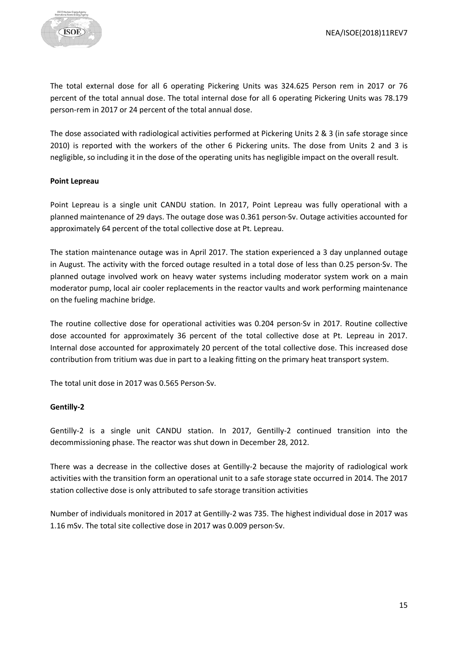

The total external dose for all 6 operating Pickering Units was 324.625 Person rem in 2017 or 76 percent of the total annual dose. The total internal dose for all 6 operating Pickering Units was 78.179 person-rem in 2017 or 24 percent of the total annual dose.

The dose associated with radiological activities performed at Pickering Units 2 & 3 (in safe storage since 2010) is reported with the workers of the other 6 Pickering units. The dose from Units 2 and 3 is negligible, so including it in the dose of the operating units has negligible impact on the overall result.

#### **Point Lepreau**

Point Lepreau is a single unit CANDU station. In 2017, Point Lepreau was fully operational with a planned maintenance of 29 days. The outage dose was 0.361 person·Sv. Outage activities accounted for approximately 64 percent of the total collective dose at Pt. Lepreau.

The station maintenance outage was in April 2017. The station experienced a 3 day unplanned outage in August. The activity with the forced outage resulted in a total dose of less than 0.25 person·Sv. The planned outage involved work on heavy water systems including moderator system work on a main moderator pump, local air cooler replacements in the reactor vaults and work performing maintenance on the fueling machine bridge.

The routine collective dose for operational activities was 0.204 person·Sv in 2017. Routine collective dose accounted for approximately 36 percent of the total collective dose at Pt. Lepreau in 2017. Internal dose accounted for approximately 20 percent of the total collective dose. This increased dose contribution from tritium was due in part to a leaking fitting on the primary heat transport system.

The total unit dose in 2017 was 0.565 Person·Sv.

## **Gentilly-2**

Gentilly-2 is a single unit CANDU station. In 2017, Gentilly-2 continued transition into the decommissioning phase. The reactor was shut down in December 28, 2012.

There was a decrease in the collective doses at Gentilly-2 because the majority of radiological work activities with the transition form an operational unit to a safe storage state occurred in 2014. The 2017 station collective dose is only attributed to safe storage transition activities

Number of individuals monitored in 2017 at Gentilly-2 was 735. The highest individual dose in 2017 was 1.16 mSv. The total site collective dose in 2017 was 0.009 person·Sv.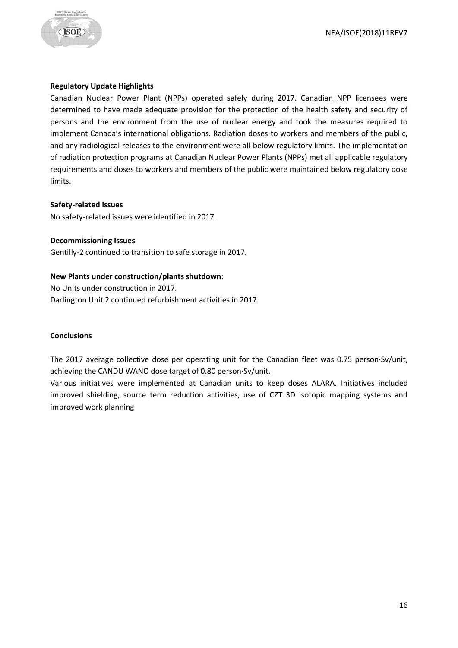



## **Regulatory Update Highlights**

Canadian Nuclear Power Plant (NPPs) operated safely during 2017. Canadian NPP licensees were determined to have made adequate provision for the protection of the health safety and security of persons and the environment from the use of nuclear energy and took the measures required to implement Canada's international obligations. Radiation doses to workers and members of the public, and any radiological releases to the environment were all below regulatory limits. The implementation of radiation protection programs at Canadian Nuclear Power Plants (NPPs) met all applicable regulatory requirements and doses to workers and members of the public were maintained below regulatory dose limits.

#### **Safety-related issues**

No safety-related issues were identified in 2017.

#### **Decommissioning Issues**

Gentilly-2 continued to transition to safe storage in 2017.

## **New Plants under construction/plants shutdown**:

No Units under construction in 2017. Darlington Unit 2 continued refurbishment activities in 2017.

## **Conclusions**

The 2017 average collective dose per operating unit for the Canadian fleet was 0.75 person·Sv/unit, achieving the CANDU WANO dose target of 0.80 person·Sv/unit.

Various initiatives were implemented at Canadian units to keep doses ALARA. Initiatives included improved shielding, source term reduction activities, use of CZT 3D isotopic mapping systems and improved work planning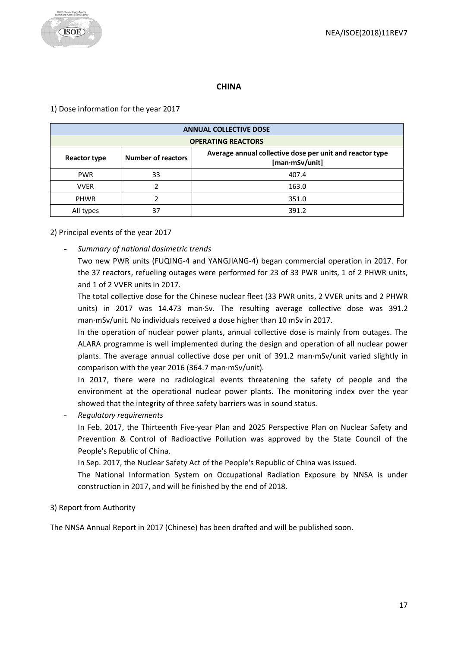

# **CHINA**

## <span id="page-16-0"></span>1) Dose information for the year 2017

| <b>ANNUAL COLLECTIVE DOSE</b>                                                                                           |    |       |  |
|-------------------------------------------------------------------------------------------------------------------------|----|-------|--|
| <b>OPERATING REACTORS</b>                                                                                               |    |       |  |
| Average annual collective dose per unit and reactor type<br><b>Number of reactors</b><br>Reactor type<br>[man·mSv/unit] |    |       |  |
| <b>PWR</b>                                                                                                              | 33 | 407.4 |  |
| <b>VVER</b>                                                                                                             |    | 163.0 |  |
| <b>PHWR</b>                                                                                                             |    | 351.0 |  |
| All types                                                                                                               | 37 | 391.2 |  |

## 2) Principal events of the year 2017

- *Summary of national dosimetric trends*

Two new PWR units (FUQING-4 and YANGJIANG-4) began commercial operation in 2017. For the 37 reactors, refueling outages were performed for 23 of 33 PWR units, 1 of 2 PHWR units, and 1 of 2 VVER units in 2017.

The total collective dose for the Chinese nuclear fleet (33 PWR units, 2 VVER units and 2 PHWR units) in 2017 was 14.473 man·Sv. The resulting average collective dose was 391.2 man·mSv/unit. No individuals received a dose higher than 10 mSv in 2017.

In the operation of nuclear power plants, annual collective dose is mainly from outages. The ALARA programme is well implemented during the design and operation of all nuclear power plants. The average annual collective dose per unit of 391.2 man·mSv/unit varied slightly in comparison with the year 2016 (364.7 man·mSv/unit).

In 2017, there were no radiological events threatening the safety of people and the environment at the operational nuclear power plants. The monitoring index over the year showed that the integrity of three safety barriers was in sound status.

- *Regulatory requirements*

In Feb. 2017, the Thirteenth Five-year Plan and 2025 Perspective Plan on Nuclear Safety and Prevention & Control of Radioactive Pollution was approved by the State Council of the People's Republic of China.

In Sep. 2017, the Nuclear Safety Act of the People's Republic of China was issued.

The National Information System on Occupational Radiation Exposure by NNSA is under construction in 2017, and will be finished by the end of 2018.

3) Report from Authority

The NNSA Annual Report in 2017 (Chinese) has been drafted and will be published soon.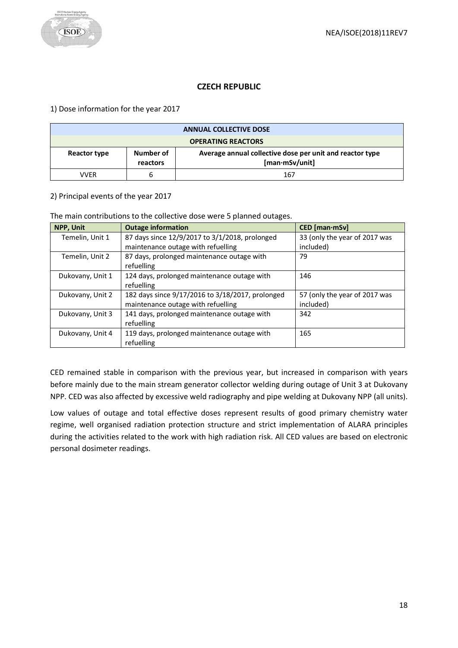## **CZECH REPUBLIC**

<span id="page-17-0"></span>1) Dose information for the year 2017

| <b>ANNUAL COLLECTIVE DOSE</b> |                       |                                                                                    |
|-------------------------------|-----------------------|------------------------------------------------------------------------------------|
| <b>OPERATING REACTORS</b>     |                       |                                                                                    |
| Reactor type                  | Number of<br>reactors | Average annual collective dose per unit and reactor type<br>$[man \cdot mSv/unit]$ |
| VVFR                          | h                     | 167                                                                                |

#### 2) Principal events of the year 2017

The main contributions to the collective dose were 5 planned outages.

| NPP, Unit        | <b>Outage information</b>                        | $CED$ [man $\cdot$ mSv]       |
|------------------|--------------------------------------------------|-------------------------------|
| Temelin, Unit 1  | 87 days since 12/9/2017 to 3/1/2018, prolonged   | 33 (only the year of 2017 was |
|                  | maintenance outage with refuelling               | included)                     |
| Temelin, Unit 2  | 87 days, prolonged maintenance outage with       | 79                            |
|                  | refuelling                                       |                               |
| Dukovany, Unit 1 | 124 days, prolonged maintenance outage with      | 146                           |
|                  | refuelling                                       |                               |
| Dukovany, Unit 2 | 182 days since 9/17/2016 to 3/18/2017, prolonged | 57 (only the year of 2017 was |
|                  | maintenance outage with refuelling               | included)                     |
| Dukovany, Unit 3 | 141 days, prolonged maintenance outage with      | 342                           |
|                  | refuelling                                       |                               |
| Dukovany, Unit 4 | 119 days, prolonged maintenance outage with      | 165                           |
|                  | refuelling                                       |                               |

CED remained stable in comparison with the previous year, but increased in comparison with years before mainly due to the main stream generator collector welding during outage of Unit 3 at Dukovany NPP. CED was also affected by excessive weld radiography and pipe welding at Dukovany NPP (all units).

Low values of outage and total effective doses represent results of good primary chemistry water regime, well organised radiation protection structure and strict implementation of ALARA principles during the activities related to the work with high radiation risk. All CED values are based on electronic personal dosimeter readings.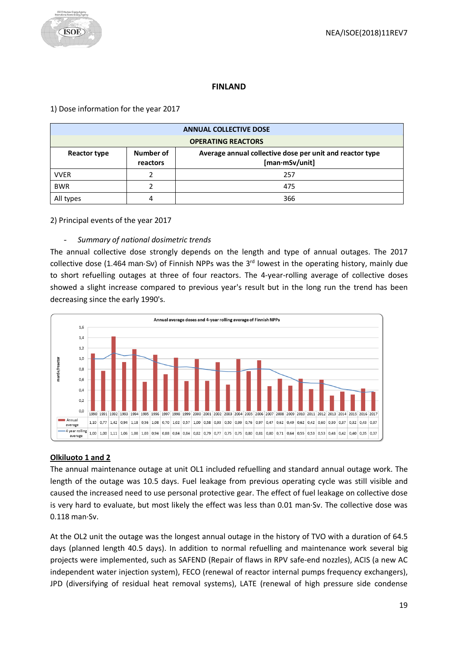## **FINLAND**

## <span id="page-18-0"></span>1) Dose information for the year 2017

| <b>ANNUAL COLLECTIVE DOSE</b> |                       |                                                                            |
|-------------------------------|-----------------------|----------------------------------------------------------------------------|
| <b>OPERATING REACTORS</b>     |                       |                                                                            |
| Reactor type                  | Number of<br>reactors | Average annual collective dose per unit and reactor type<br>[man·mSv/unit] |
| <b>VVER</b>                   |                       | 257                                                                        |
| <b>BWR</b>                    |                       | 475                                                                        |
| All types                     |                       | 366                                                                        |

## 2) Principal events of the year 2017

## - *Summary of national dosimetric trends*

The annual collective dose strongly depends on the length and type of annual outages. The 2017 collective dose (1.464 man·Sv) of Finnish NPPs was the 3<sup>rd</sup> lowest in the operating history, mainly due to short refuelling outages at three of four reactors. The 4-year-rolling average of collective doses showed a slight increase compared to previous year's result but in the long run the trend has been decreasing since the early 1990's.



# **Olkiluoto 1 and 2**

The annual maintenance outage at unit OL1 included refuelling and standard annual outage work. The length of the outage was 10.5 days. Fuel leakage from previous operating cycle was still visible and caused the increased need to use personal protective gear. The effect of fuel leakage on collective dose is very hard to evaluate, but most likely the effect was less than 0.01 man·Sv. The collective dose was 0.118 man·Sv.

At the OL2 unit the outage was the longest annual outage in the history of TVO with a duration of 64.5 days (planned length 40.5 days). In addition to normal refuelling and maintenance work several big projects were implemented, such as SAFEND (Repair of flaws in RPV safe-end nozzles), ACIS (a new AC independent water injection system), FECO (renewal of reactor internal pumps frequency exchangers), JPD (diversifying of residual heat removal systems), LATE (renewal of high pressure side condense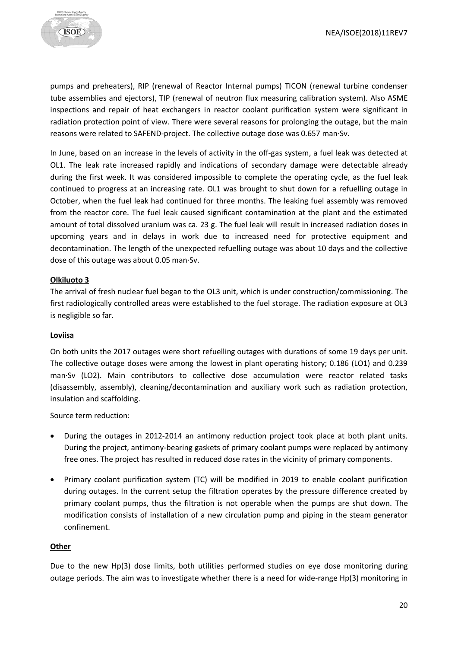

pumps and preheaters), RIP (renewal of Reactor Internal pumps) TICON (renewal turbine condenser tube assemblies and ejectors), TIP (renewal of neutron flux measuring calibration system). Also ASME inspections and repair of heat exchangers in reactor coolant purification system were significant in radiation protection point of view. There were several reasons for prolonging the outage, but the main reasons were related to SAFEND-project. The collective outage dose was 0.657 man·Sv.

In June, based on an increase in the levels of activity in the off-gas system, a fuel leak was detected at OL1. The leak rate increased rapidly and indications of secondary damage were detectable already during the first week. It was considered impossible to complete the operating cycle, as the fuel leak continued to progress at an increasing rate. OL1 was brought to shut down for a refuelling outage in October, when the fuel leak had continued for three months. The leaking fuel assembly was removed from the reactor core. The fuel leak caused significant contamination at the plant and the estimated amount of total dissolved uranium was ca. 23 g. The fuel leak will result in increased radiation doses in upcoming years and in delays in work due to increased need for protective equipment and decontamination. The length of the unexpected refuelling outage was about 10 days and the collective dose of this outage was about 0.05 man·Sv.

#### **Olkiluoto 3**

The arrival of fresh nuclear fuel began to the OL3 unit, which is under construction/commissioning. The first radiologically controlled areas were established to the fuel storage. The radiation exposure at OL3 is negligible so far.

#### **Loviisa**

On both units the 2017 outages were short refuelling outages with durations of some 19 days per unit. The collective outage doses were among the lowest in plant operating history; 0.186 (LO1) and 0.239 man·Sv (LO2). Main contributors to collective dose accumulation were reactor related tasks (disassembly, assembly), cleaning/decontamination and auxiliary work such as radiation protection, insulation and scaffolding.

Source term reduction:

- During the outages in 2012-2014 an antimony reduction project took place at both plant units. During the project, antimony-bearing gaskets of primary coolant pumps were replaced by antimony free ones. The project has resulted in reduced dose rates in the vicinity of primary components.
- Primary coolant purification system (TC) will be modified in 2019 to enable coolant purification during outages. In the current setup the filtration operates by the pressure difference created by primary coolant pumps, thus the filtration is not operable when the pumps are shut down. The modification consists of installation of a new circulation pump and piping in the steam generator confinement.

#### **Other**

Due to the new Hp(3) dose limits, both utilities performed studies on eye dose monitoring during outage periods. The aim was to investigate whether there is a need for wide-range Hp(3) monitoring in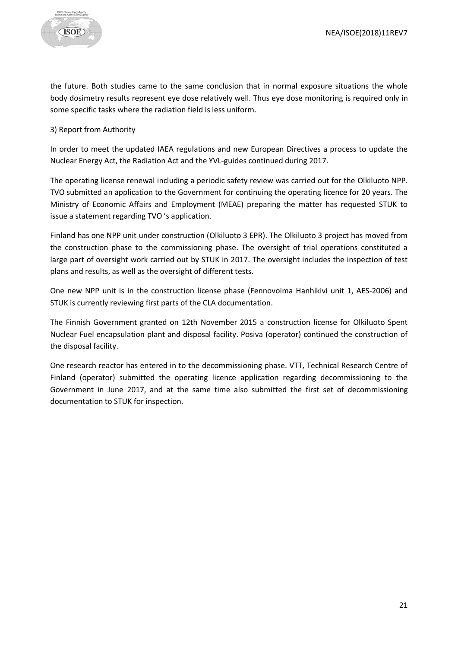the future. Both studies came to the same conclusion that in normal exposure situations the whole body dosimetry results represent eye dose relatively well. Thus eye dose monitoring is required only in some specific tasks where the radiation field is less uniform.

#### 3) Report from Authority

In order to meet the updated IAEA regulations and new European Directives a process to update the Nuclear Energy Act, the Radiation Act and the YVL-guides continued during 2017.

The operating license renewal including a periodic safety review was carried out for the Olkiluoto NPP. TVO submitted an application to the Government for continuing the operating licence for 20 years. The Ministry of Economic Affairs and Employment (MEAE) preparing the matter has requested STUK to issue a statement regarding TVO 's application.

Finland has one NPP unit under construction (Olkiluoto 3 EPR). The Olkiluoto 3 project has moved from the construction phase to the commissioning phase. The oversight of trial operations constituted a large part of oversight work carried out by STUK in 2017. The oversight includes the inspection of test plans and results, as well as the oversight of different tests.

One new NPP unit is in the construction license phase (Fennovoima Hanhikivi unit 1, AES-2006) and STUK is currently reviewing first parts of the CLA documentation.

The Finnish Government granted on 12th November 2015 a construction license for Olkiluoto Spent Nuclear Fuel encapsulation plant and disposal facility. Posiva (operator) continued the construction of the disposal facility.

One research reactor has entered in to the decommissioning phase. VTT, Technical Research Centre of Finland (operator) submitted the operating licence application regarding decommissioning to the Government in June 2017, and at the same time also submitted the first set of decommissioning documentation to STUK for inspection.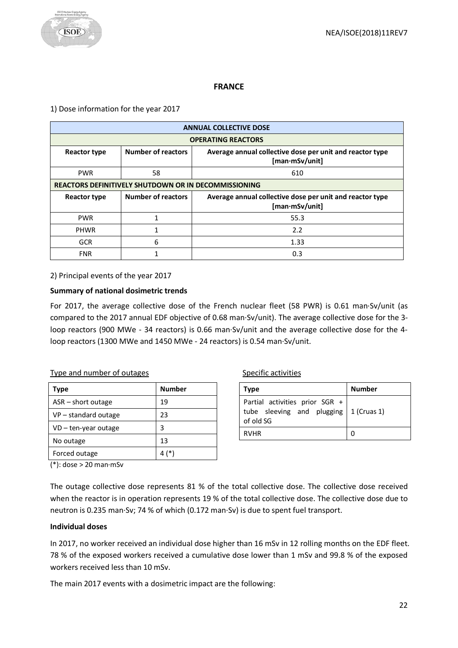## **FRANCE**

## <span id="page-21-0"></span>1) Dose information for the year 2017

| <b>ANNUAL COLLECTIVE DOSE</b>                               |                           |                                                                            |
|-------------------------------------------------------------|---------------------------|----------------------------------------------------------------------------|
| <b>OPERATING REACTORS</b>                                   |                           |                                                                            |
| <b>Reactor type</b>                                         | <b>Number of reactors</b> | Average annual collective dose per unit and reactor type<br>[man·mSv/unit] |
| <b>PWR</b>                                                  | 58                        | 610                                                                        |
| <b>REACTORS DEFINITIVELY SHUTDOWN OR IN DECOMMISSIONING</b> |                           |                                                                            |
| <b>Reactor type</b>                                         | <b>Number of reactors</b> | Average annual collective dose per unit and reactor type<br>[man·mSv/unit] |
| <b>PWR</b>                                                  | 1                         | 55.3                                                                       |
| <b>PHWR</b>                                                 | 1                         | 2.2                                                                        |
| <b>GCR</b>                                                  | 6                         | 1.33                                                                       |
| <b>FNR</b>                                                  |                           | 0.3                                                                        |

2) Principal events of the year 2017

## **Summary of national dosimetric trends**

For 2017, the average collective dose of the French nuclear fleet (58 PWR) is 0.61 man·Sv/unit (as compared to the 2017 annual EDF objective of 0.68 man·Sv/unit). The average collective dose for the 3 loop reactors (900 MWe - 34 reactors) is 0.66 man·Sv/unit and the average collective dose for the 4 loop reactors (1300 MWe and 1450 MWe - 24 reactors) is 0.54 man·Sv/unit.

## Type and number of outages

| Type                   | <b>Number</b> |
|------------------------|---------------|
| $ASR$ – short outage   | 19            |
| $VP$ – standard outage | 23            |
| $VD$ – ten-year outage | 3             |
| No outage              | 13            |
| Forced outage          |               |

#### Specific activities

| Type                                                                                          | Number |
|-----------------------------------------------------------------------------------------------|--------|
| Partial activities prior SGR +<br>tube sleeving and plugging $\vert$ 1 (Cruas 1)<br>of old SG |        |
| <b>RVHR</b>                                                                                   |        |

(\*): dose > 20 man·mSv

The outage collective dose represents 81 % of the total collective dose. The collective dose received when the reactor is in operation represents 19 % of the total collective dose. The collective dose due to neutron is 0.235 man·Sv; 74 % of which (0.172 man·Sv) is due to spent fuel transport.

#### **Individual doses**

In 2017, no worker received an individual dose higher than 16 mSv in 12 rolling months on the EDF fleet. 78 % of the exposed workers received a cumulative dose lower than 1 mSv and 99.8 % of the exposed workers received less than 10 mSv.

The main 2017 events with a dosimetric impact are the following: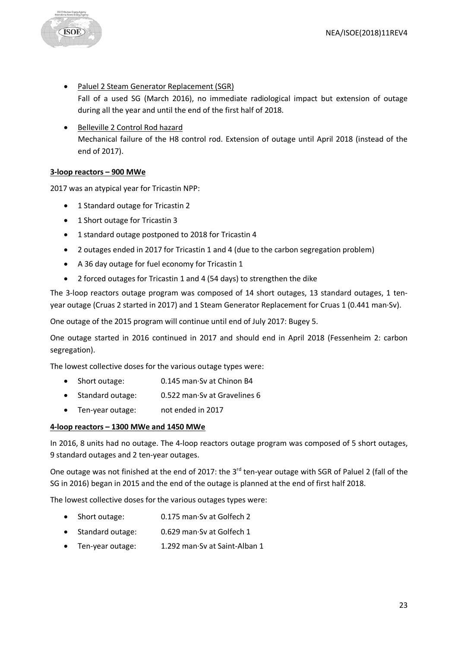- Paluel 2 Steam Generator Replacement (SGR) Fall of a used SG (March 2016), no immediate radiological impact but extension of outage during all the year and until the end of the first half of 2018.
- Belleville 2 Control Rod hazard Mechanical failure of the H8 control rod. Extension of outage until April 2018 (instead of the end of 2017).

#### **3-loop reactors – 900 MWe**

**ISOE** 

2017 was an atypical year for Tricastin NPP:

- 1 Standard outage for Tricastin 2
- 1 Short outage for Tricastin 3
- 1 standard outage postponed to 2018 for Tricastin 4
- 2 outages ended in 2017 for Tricastin 1 and 4 (due to the carbon segregation problem)
- A 36 day outage for fuel economy for Tricastin 1
- 2 forced outages for Tricastin 1 and 4 (54 days) to strengthen the dike

The 3-loop reactors outage program was composed of 14 short outages, 13 standard outages, 1 tenyear outage (Cruas 2 started in 2017) and 1 Steam Generator Replacement for Cruas 1 (0.441 man·Sv).

One outage of the 2015 program will continue until end of July 2017: Bugey 5.

One outage started in 2016 continued in 2017 and should end in April 2018 (Fessenheim 2: carbon segregation).

The lowest collective doses for the various outage types were:

- Short outage: 0.145 man·Sv at Chinon B4
- Standard outage: 0.522 man·Sv at Gravelines 6
- Ten-year outage: not ended in 2017

#### **4-loop reactors – 1300 MWe and 1450 MWe**

In 2016, 8 units had no outage. The 4-loop reactors outage program was composed of 5 short outages, 9 standard outages and 2 ten-year outages.

One outage was not finished at the end of 2017: the 3<sup>rd</sup> ten-year outage with SGR of Paluel 2 (fall of the SG in 2016) began in 2015 and the end of the outage is planned at the end of first half 2018.

The lowest collective doses for the various outages types were:

- Short outage: 0.175 man·Sv at Golfech 2
- Standard outage: 0.629 man·Sv at Golfech 1
- Ten-year outage: 1.292 man·Sv at Saint-Alban 1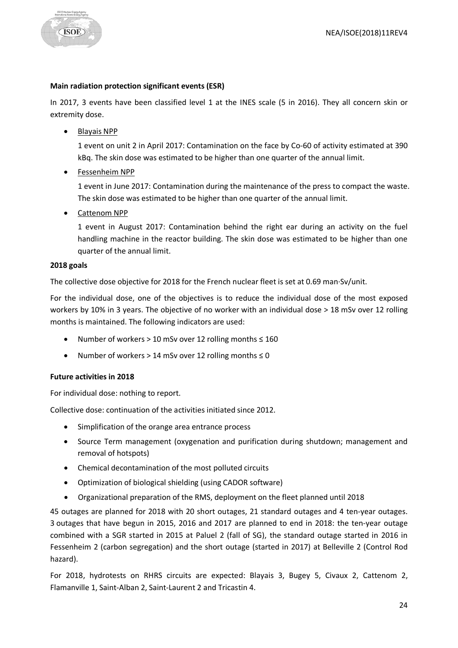#### **Main radiation protection significant events (ESR)**

In 2017, 3 events have been classified level 1 at the INES scale (5 in 2016). They all concern skin or extremity dose.

• Blayais NPP

1 event on unit 2 in April 2017: Contamination on the face by Co-60 of activity estimated at 390 kBq. The skin dose was estimated to be higher than one quarter of the annual limit.

• Fessenheim NPP

1 event in June 2017: Contamination during the maintenance of the press to compact the waste. The skin dose was estimated to be higher than one quarter of the annual limit.

• Cattenom NPP

1 event in August 2017: Contamination behind the right ear during an activity on the fuel handling machine in the reactor building. The skin dose was estimated to be higher than one quarter of the annual limit.

## **2018 goals**

The collective dose objective for 2018 for the French nuclear fleet is set at 0.69 man·Sv/unit.

For the individual dose, one of the objectives is to reduce the individual dose of the most exposed workers by 10% in 3 years. The objective of no worker with an individual dose > 18 mSv over 12 rolling months is maintained. The following indicators are used:

- Number of workers > 10 mSv over 12 rolling months  $\leq 160$
- Number of workers > 14 mSv over 12 rolling months ≤ 0

## **Future activities in 2018**

For individual dose: nothing to report.

Collective dose: continuation of the activities initiated since 2012.

- Simplification of the orange area entrance process
- Source Term management (oxygenation and purification during shutdown; management and removal of hotspots)
- Chemical decontamination of the most polluted circuits
- Optimization of biological shielding (using CADOR software)
- Organizational preparation of the RMS, deployment on the fleet planned until 2018

45 outages are planned for 2018 with 20 short outages, 21 standard outages and 4 ten-year outages. 3 outages that have begun in 2015, 2016 and 2017 are planned to end in 2018: the ten-year outage combined with a SGR started in 2015 at Paluel 2 (fall of SG), the standard outage started in 2016 in Fessenheim 2 (carbon segregation) and the short outage (started in 2017) at Belleville 2 (Control Rod hazard).

For 2018, hydrotests on RHRS circuits are expected: Blayais 3, Bugey 5, Civaux 2, Cattenom 2, Flamanville 1, Saint-Alban 2, Saint-Laurent 2 and Tricastin 4.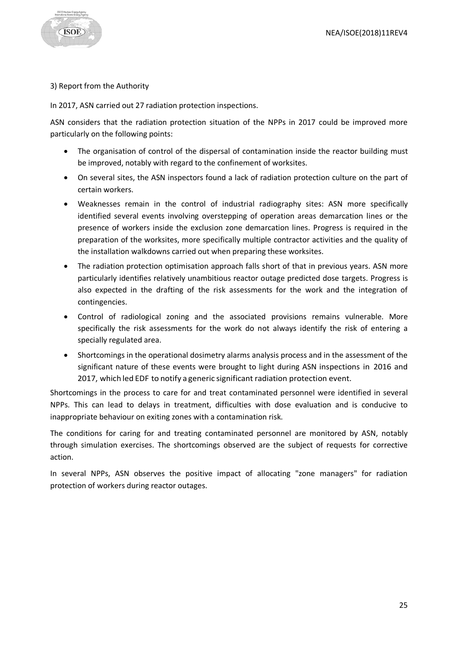

3) Report from the Authority

In 2017, ASN carried out 27 radiation protection inspections.

ASN considers that the radiation protection situation of the NPPs in 2017 could be improved more particularly on the following points:

- The organisation of control of the dispersal of contamination inside the reactor building must be improved, notably with regard to the confinement of worksites.
- On several sites, the ASN inspectors found a lack of radiation protection culture on the part of certain workers.
- Weaknesses remain in the control of industrial radiography sites: ASN more specifically identified several events involving overstepping of operation areas demarcation lines or the presence of workers inside the exclusion zone demarcation lines. Progress is required in the preparation of the worksites, more specifically multiple contractor activities and the quality of the installation walkdowns carried out when preparing these worksites.
- The radiation protection optimisation approach falls short of that in previous years. ASN more particularly identifies relatively unambitious reactor outage predicted dose targets. Progress is also expected in the drafting of the risk assessments for the work and the integration of contingencies.
- Control of radiological zoning and the associated provisions remains vulnerable. More specifically the risk assessments for the work do not always identify the risk of entering a specially regulated area.
- Shortcomings in the operational dosimetry alarms analysis process and in the assessment of the significant nature of these events were brought to light during ASN inspections in 2016 and 2017, which led EDF to notify a generic significant radiation protection event.

Shortcomings in the process to care for and treat contaminated personnel were identified in several NPPs. This can lead to delays in treatment, difficulties with dose evaluation and is conducive to inappropriate behaviour on exiting zones with a contamination risk.

The conditions for caring for and treating contaminated personnel are monitored by ASN, notably through simulation exercises. The shortcomings observed are the subject of requests for corrective action.

In several NPPs, ASN observes the positive impact of allocating "zone managers" for radiation protection of workers during reactor outages.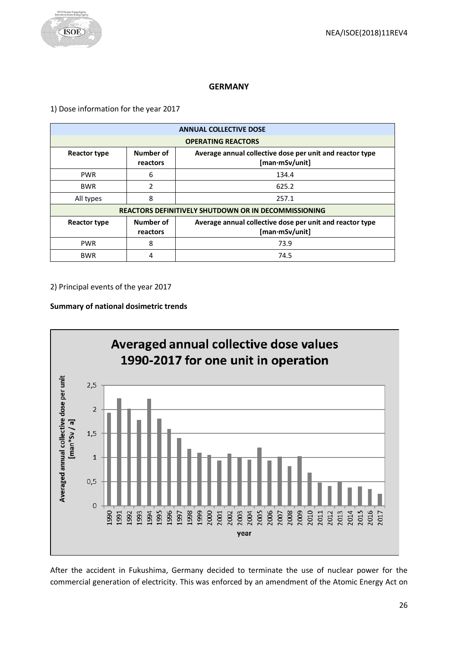

## **GERMANY**

<span id="page-25-0"></span>1) Dose information for the year 2017

| <b>ANNUAL COLLECTIVE DOSE</b> |                                                             |                                                                            |  |
|-------------------------------|-------------------------------------------------------------|----------------------------------------------------------------------------|--|
| <b>OPERATING REACTORS</b>     |                                                             |                                                                            |  |
| <b>Reactor type</b>           | Number of<br>reactors                                       | Average annual collective dose per unit and reactor type<br>[man·mSv/unit] |  |
| <b>PWR</b>                    | 6                                                           | 134.4                                                                      |  |
| <b>BWR</b>                    | $\mathcal{P}$                                               | 625.2                                                                      |  |
| All types                     | 8                                                           | 257.1                                                                      |  |
|                               | <b>REACTORS DEFINITIVELY SHUTDOWN OR IN DECOMMISSIONING</b> |                                                                            |  |
| <b>Reactor type</b>           | Number of<br>reactors                                       | Average annual collective dose per unit and reactor type<br>[man·mSv/unit] |  |
| <b>PWR</b>                    | 8                                                           | 73.9                                                                       |  |
| <b>BWR</b>                    | 4                                                           | 74.5                                                                       |  |

2) Principal events of the year 2017

## **Summary of national dosimetric trends**



After the accident in Fukushima, Germany decided to terminate the use of nuclear power for the commercial generation of electricity. This was enforced by an amendment of the Atomic Energy Act on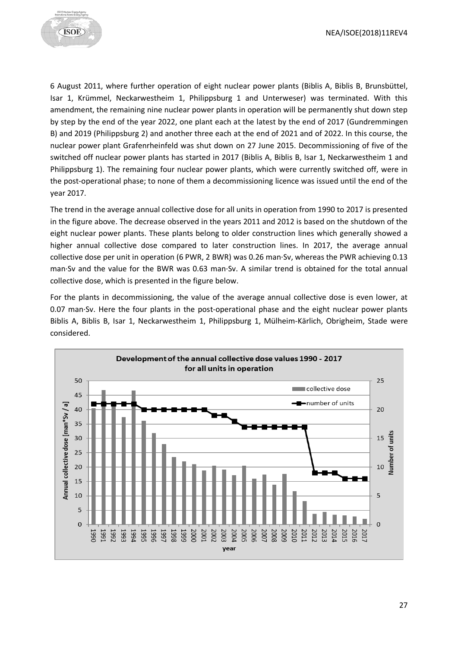

6 August 2011, where further operation of eight nuclear power plants (Biblis A, Biblis B, Brunsbüttel, Isar 1, Krümmel, Neckarwestheim 1, Philippsburg 1 and Unterweser) was terminated. With this amendment, the remaining nine nuclear power plants in operation will be permanently shut down step by step by the end of the year 2022, one plant each at the latest by the end of 2017 (Gundremmingen B) and 2019 (Philippsburg 2) and another three each at the end of 2021 and of 2022. In this course, the nuclear power plant Grafenrheinfeld was shut down on 27 June 2015. Decommissioning of five of the switched off nuclear power plants has started in 2017 (Biblis A, Biblis B, Isar 1, Neckarwestheim 1 and Philippsburg 1). The remaining four nuclear power plants, which were currently switched off, were in the post-operational phase; to none of them a decommissioning licence was issued until the end of the year 2017.

The trend in the average annual collective dose for all units in operation from 1990 to 2017 is presented in the figure above. The decrease observed in the years 2011 and 2012 is based on the shutdown of the eight nuclear power plants. These plants belong to older construction lines which generally showed a higher annual collective dose compared to later construction lines. In 2017, the average annual collective dose per unit in operation (6 PWR, 2 BWR) was 0.26 man·Sv, whereas the PWR achieving 0.13 man·Sv and the value for the BWR was 0.63 man·Sv. A similar trend is obtained for the total annual collective dose, which is presented in the figure below.

For the plants in decommissioning, the value of the average annual collective dose is even lower, at 0.07 man·Sv. Here the four plants in the post-operational phase and the eight nuclear power plants Biblis A, Biblis B, Isar 1, Neckarwestheim 1, Philippsburg 1, Mülheim-Kärlich, Obrigheim, Stade were considered.

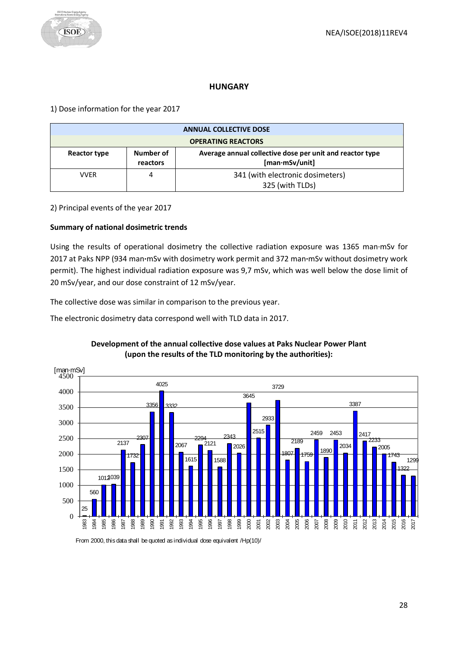## **HUNGARY**

<span id="page-27-0"></span>1) Dose information for the year 2017

| <b>ANNUAL COLLECTIVE DOSE</b> |                       |                                                                            |
|-------------------------------|-----------------------|----------------------------------------------------------------------------|
| <b>OPERATING REACTORS</b>     |                       |                                                                            |
| Reactor type                  | Number of<br>reactors | Average annual collective dose per unit and reactor type<br>[man·mSv/unit] |
| VVER                          |                       | 341 (with electronic dosimeters)<br>325 (with TLDs)                        |

2) Principal events of the year 2017

## **Summary of national dosimetric trends**

Using the results of operational dosimetry the collective radiation exposure was 1365 man·mSv for 2017 at Paks NPP (934 man**·**mSv with dosimetry work permit and 372 man**·**mSv without dosimetry work permit). The highest individual radiation exposure was 9,7 mSv, which was well below the dose limit of 20 mSv/year, and our dose constraint of 12 mSv/year.

The collective dose was similar in comparison to the previous year.

The electronic dosimetry data correspond well with TLD data in 2017.



## **Development of the annual collective dose values at Paks Nuclear Power Plant (upon the results of the TLD monitoring by the authorities):**

From 2000, this data shall be quoted as individual dose equivalent /Hp(10)/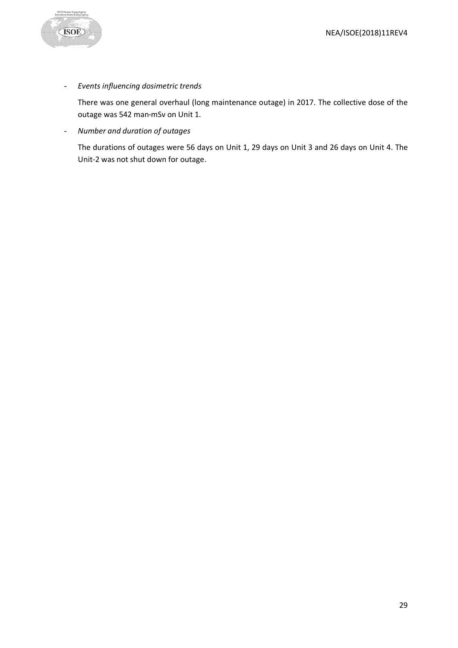

- *Events influencing dosimetric trends*

There was one general overhaul (long maintenance outage) in 2017. The collective dose of the outage was 542 man**·**mSv on Unit 1.

- *Number and duration of outages*

The durations of outages were 56 days on Unit 1, 29 days on Unit 3 and 26 days on Unit 4. The Unit-2 was not shut down for outage.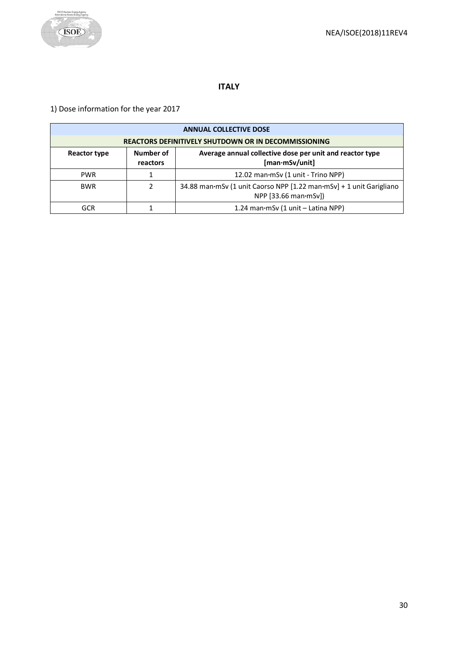

# **ITALY**

<span id="page-29-0"></span>1) Dose information for the year 2017

| <b>ANNUAL COLLECTIVE DOSE</b>                                                                                       |  |                                                                                                       |
|---------------------------------------------------------------------------------------------------------------------|--|-------------------------------------------------------------------------------------------------------|
| <b>REACTORS DEFINITIVELY SHUTDOWN OR IN DECOMMISSIONING</b>                                                         |  |                                                                                                       |
| Number of<br>Average annual collective dose per unit and reactor type<br>Reactor type<br>[man·mSv/unit]<br>reactors |  |                                                                                                       |
| <b>PWR</b>                                                                                                          |  | 12.02 man·mSv (1 unit - Trino NPP)                                                                    |
| <b>BWR</b>                                                                                                          |  | 34.88 man mSv (1 unit Caorso NPP [1.22 man mSv] + 1 unit Garigliano<br>NPP $[33.66$ man $\cdot$ mSv]) |
| GCR                                                                                                                 |  | 1.24 man·mSv (1 unit - Latina NPP)                                                                    |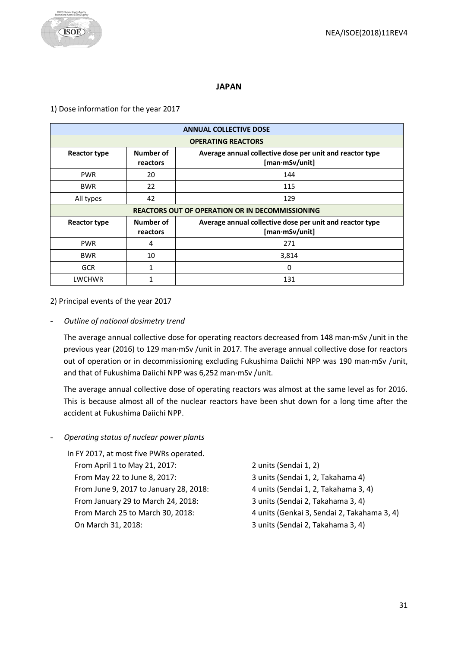## **JAPAN**

#### <span id="page-30-0"></span>1) Dose information for the year 2017

| <b>ANNUAL COLLECTIVE DOSE</b>                          |                       |                                                                            |
|--------------------------------------------------------|-----------------------|----------------------------------------------------------------------------|
| <b>OPERATING REACTORS</b>                              |                       |                                                                            |
| <b>Reactor type</b>                                    | Number of<br>reactors | Average annual collective dose per unit and reactor type<br>[man·mSv/unit] |
| <b>PWR</b>                                             | 20                    | 144                                                                        |
| <b>BWR</b>                                             | 22                    | 115                                                                        |
| All types                                              | 42                    | 129                                                                        |
| <b>REACTORS OUT OF OPERATION OR IN DECOMMISSIONING</b> |                       |                                                                            |
|                                                        |                       |                                                                            |
| <b>Reactor type</b>                                    | Number of<br>reactors | Average annual collective dose per unit and reactor type<br>[man·mSv/unit] |
| <b>PWR</b>                                             | 4                     | 271                                                                        |
| <b>BWR</b>                                             | 10                    | 3,814                                                                      |
| <b>GCR</b>                                             | 1                     | 0                                                                          |

2) Principal events of the year 2017

#### - *Outline of national dosimetry trend*

The average annual collective dose for operating reactors decreased from 148 man·mSv /unit in the previous year (2016) to 129 man·mSv /unit in 2017. The average annual collective dose for reactors out of operation or in decommissioning excluding Fukushima Daiichi NPP was 190 man·mSv /unit, and that of Fukushima Daiichi NPP was 6,252 man·mSv /unit.

The average annual collective dose of operating reactors was almost at the same level as for 2016. This is because almost all of the nuclear reactors have been shut down for a long time after the accident at Fukushima Daiichi NPP.

- *Operating status of nuclear power plants*

| In FY 2017, at most five PWRs operated. |                                             |
|-----------------------------------------|---------------------------------------------|
| From April 1 to May 21, 2017:           | 2 units (Sendai 1, 2)                       |
| From May 22 to June 8, 2017:            | 3 units (Sendai 1, 2, Takahama 4)           |
| From June 9, 2017 to January 28, 2018:  | 4 units (Sendai 1, 2, Takahama 3, 4)        |
| From January 29 to March 24, 2018:      | 3 units (Sendai 2, Takahama 3, 4)           |
| From March 25 to March 30, 2018:        | 4 units (Genkai 3, Sendai 2, Takahama 3, 4) |
| On March 31, 2018:                      | 3 units (Sendai 2, Takahama 3, 4)           |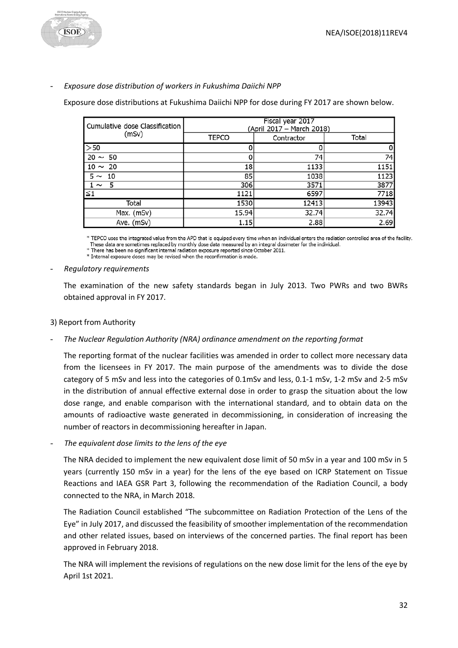

#### - *Exposure dose distribution of workers in Fukushima Daiichi NPP*

Exposure dose distributions at Fukushima Daiichi NPP for dose during FY 2017 are shown below.

| Cumulative dose Classification | Fiscal year 2017<br>(April 2017 – March 2018) |            |       |  |
|--------------------------------|-----------------------------------------------|------------|-------|--|
| (mSv)                          | <b>TEPCO</b>                                  | Contractor | Total |  |
| >50                            |                                               |            | 0     |  |
| $20 \sim 50$                   |                                               | 74         | 74    |  |
| $10 \sim 20$                   | 18                                            | 1133       | 1151  |  |
| $5 \sim 10$                    | 85                                            | 1038       | 1123  |  |
| $1 \sim 5$                     | 306                                           | 3571       | 3877  |  |
| $\leq 1$                       | 1121                                          | 6597       | 7718  |  |
| Total                          | 1530                                          | 12413      | 13943 |  |
| Max. (mSv)                     | 15.94                                         | 32.74      | 32.74 |  |
| Ave. (mSv)                     | 1.15                                          | 2.88       | 2.69  |  |

\* TEPCO uses the integrated value from the APD that is equiped every time when an individual enters the radiation controlled area of the facility. These data are sometimes replaced by monthly dose data measured by an integral dosimeter for the individual.

\* There has been no significant internal radiation exposure reported since October 2011.

\* Internal exposure doses may be revised when the reconfirmation is made.

#### - *Regulatory requirements*

The examination of the new safety standards began in July 2013. Two PWRs and two BWRs obtained approval in FY 2017.

## 3) Report from Authority

## - *The Nuclear Regulation Authority (NRA) ordinance amendment on the reporting format*

The reporting format of the nuclear facilities was amended in order to collect more necessary data from the licensees in FY 2017. The main purpose of the amendments was to divide the dose category of 5 mSv and less into the categories of 0.1mSv and less, 0.1-1 mSv, 1-2 mSv and 2-5 mSv in the distribution of annual effective external dose in order to grasp the situation about the low dose range, and enable comparison with the international standard, and to obtain data on the amounts of radioactive waste generated in decommissioning, in consideration of increasing the number of reactors in decommissioning hereafter in Japan.

The equivalent dose limits to the lens of the eye

The NRA decided to implement the new equivalent dose limit of 50 mSv in a year and 100 mSv in 5 years (currently 150 mSv in a year) for the lens of the eye based on ICRP Statement on Tissue Reactions and IAEA GSR Part 3, following the recommendation of the Radiation Council, a body connected to the NRA, in March 2018.

The Radiation Council established "The subcommittee on Radiation Protection of the Lens of the Eye" in July 2017, and discussed the feasibility of smoother implementation of the recommendation and other related issues, based on interviews of the concerned parties. The final report has been approved in February 2018.

The NRA will implement the revisions of regulations on the new dose limit for the lens of the eye by April 1st 2021.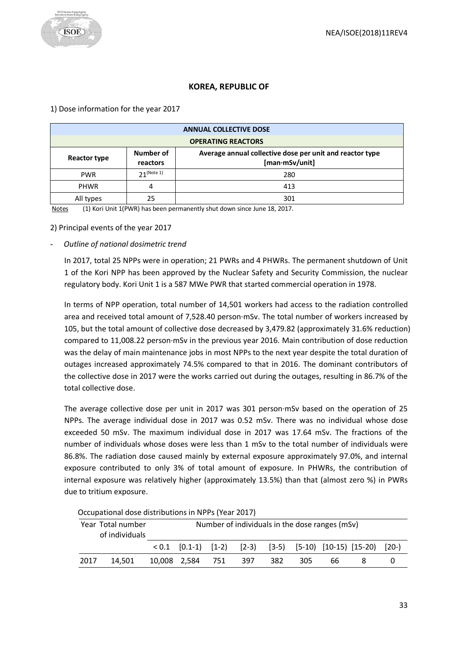# **KOREA, REPUBLIC OF**

#### <span id="page-32-0"></span>1) Dose information for the year 2017

| <b>ANNUAL COLLECTIVE DOSE</b>                                                                                       |               |     |  |
|---------------------------------------------------------------------------------------------------------------------|---------------|-----|--|
| <b>OPERATING REACTORS</b>                                                                                           |               |     |  |
| Number of<br>Average annual collective dose per unit and reactor type<br>Reactor type<br>[man·mSv/unit]<br>reactors |               |     |  |
| <b>PWR</b>                                                                                                          | $21$ (Note 1) | 280 |  |
| <b>PHWR</b>                                                                                                         |               | 413 |  |
| All types                                                                                                           | 25            | 301 |  |

Notes (1) Kori Unit 1(PWR) has been permanently shut down since June 18, 2017.

2) Principal events of the year 2017

#### - *Outline of national dosimetric trend*

In 2017, total 25 NPPs were in operation; 21 PWRs and 4 PHWRs. The permanent shutdown of Unit 1 of the Kori NPP has been approved by the Nuclear Safety and Security Commission, the nuclear regulatory body. Kori Unit 1 is a 587 MWe PWR that started commercial operation in 1978.

In terms of NPP operation, total number of 14,501 workers had access to the radiation controlled area and received total amount of 7,528.40 person·mSv. The total number of workers increased by 105, but the total amount of collective dose decreased by 3,479.82 (approximately 31.6% reduction) compared to 11,008.22 person·mSv in the previous year 2016. Main contribution of dose reduction was the delay of main maintenance jobs in most NPPs to the next year despite the total duration of outages increased approximately 74.5% compared to that in 2016. The dominant contributors of the collective dose in 2017 were the works carried out during the outages, resulting in 86.7% of the total collective dose.

The average collective dose per unit in 2017 was 301 person·mSv based on the operation of 25 NPPs. The average individual dose in 2017 was 0.52 mSv. There was no individual whose dose exceeded 50 mSv. The maximum individual dose in 2017 was 17.64 mSv. The fractions of the number of individuals whose doses were less than 1 mSv to the total number of individuals were 86.8%. The radiation dose caused mainly by external exposure approximately 97.0%, and internal exposure contributed to only 3% of total amount of exposure. In PHWRs, the contribution of internal exposure was relatively higher (approximately 13.5%) than that (almost zero %) in PWRs due to tritium exposure.

|      | Year Total number<br>of individuals | Number of individuals in the dose ranges (mSv) |  |     |         |       |    |                                                                |  |
|------|-------------------------------------|------------------------------------------------|--|-----|---------|-------|----|----------------------------------------------------------------|--|
|      |                                     |                                                |  |     |         |       |    | $< 0.1$ [0.1-1) [1-2) [2-3) [3-5) [5-10) [10-15) [15-20) [20-) |  |
| 2017 | 14.501                              | 10,008  2,584  751                             |  | 397 | - 382 - | - 305 | 66 |                                                                |  |

Occupational dose distributions in NPPs (Year 2017)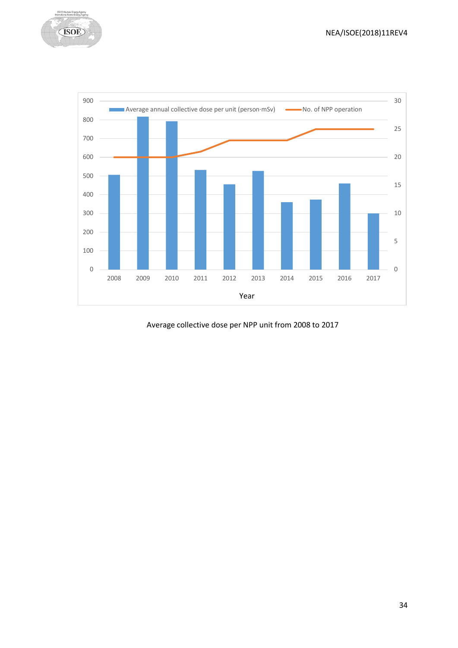



Average collective dose per NPP unit from 2008 to 2017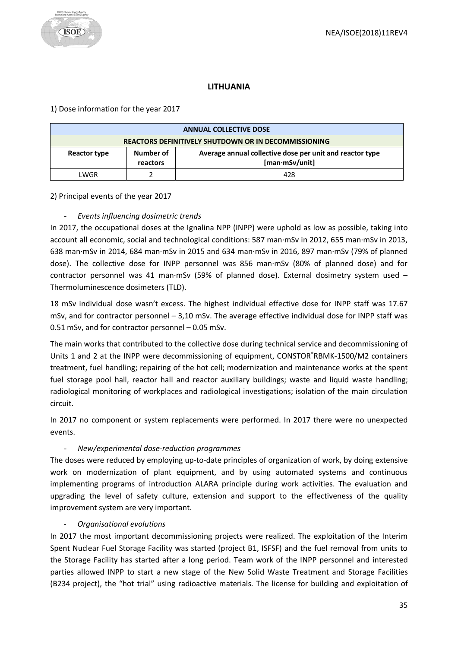## **LITHUANIA**

## <span id="page-34-0"></span>1) Dose information for the year 2017

| <b>ANNUAL COLLECTIVE DOSE</b>                                                                                       |  |     |  |
|---------------------------------------------------------------------------------------------------------------------|--|-----|--|
| <b>REACTORS DEFINITIVELY SHUTDOWN OR IN DECOMMISSIONING</b>                                                         |  |     |  |
| Average annual collective dose per unit and reactor type<br>Number of<br>Reactor type<br>[man·mSv/unit]<br>reactors |  |     |  |
| LWGR                                                                                                                |  | 428 |  |

## 2) Principal events of the year 2017

# - *Events influencing dosimetric trends*

In 2017, the occupational doses at the Ignalina NPP (INPP) were uphold as low as possible, taking into account all economic, social and technological conditions: 587 man·mSv in 2012, 655 man·mSv in 2013, 638 man·mSv in 2014, 684 man·mSv in 2015 and 634 man·mSv in 2016, 897 man·mSv (79% of planned dose). The collective dose for INPP personnel was 856 man·mSv (80% of planned dose) and for contractor personnel was 41 man·mSv (59% of planned dose). External dosimetry system used – Thermoluminescence dosimeters (TLD).

18 mSv individual dose wasn't excess. The highest individual effective dose for INPP staff was 17.67 mSv, and for contractor personnel – 3,10 mSv. The average effective individual dose for INPP staff was 0.51 mSv, and for contractor personnel – 0.05 mSv.

The main works that contributed to the collective dose during technical service and decommissioning of Units 1 and 2 at the INPP were decommissioning of equipment, CONSTOR®RBMK-1500/M2 containers treatment, fuel handling; repairing of the hot cell; modernization and maintenance works at the spent fuel storage pool hall, reactor hall and reactor auxiliary buildings; waste and liquid waste handling; radiological monitoring of workplaces and radiological investigations; isolation of the main circulation circuit.

In 2017 no component or system replacements were performed. In 2017 there were no unexpected events.

# - *New/experimental dose-reduction programmes*

The doses were reduced by employing up-to-date principles of organization of work, by doing extensive work on modernization of plant equipment, and by using automated systems and continuous implementing programs of introduction ALARA principle during work activities. The evaluation and upgrading the level of safety culture, extension and support to the effectiveness of the quality improvement system are very important.

## - *Organisational evolutions*

In 2017 the most important decommissioning projects were realized. The exploitation of the Interim Spent Nuclear Fuel Storage Facility was started (project B1, ISFSF) and the fuel removal from units to the Storage Facility has started after a long period. Team work of the INPP personnel and interested parties allowed INPP to start a new stage of the New Solid Waste Treatment and Storage Facilities (B234 project), the "hot trial" using radioactive materials. The license for building and exploitation of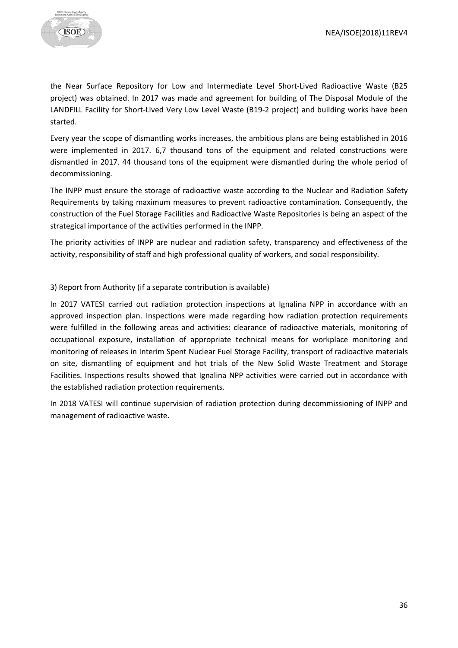

the Near Surface Repository for Low and Intermediate Level Short-Lived Radioactive Waste (B25 project) was obtained. In 2017 was made and agreement for building of The Disposal Module of the LANDFILL Facility for Short-Lived Very Low Level Waste (B19-2 project) and building works have been started.

Every year the scope of dismantling works increases, the ambitious plans are being established in 2016 were implemented in 2017. 6,7 thousand tons of the equipment and related constructions were dismantled in 2017. 44 thousand tons of the equipment were dismantled during the whole period of decommissioning.

The INPP must ensure the storage of radioactive waste according to the Nuclear and Radiation Safety Requirements by taking maximum measures to prevent radioactive contamination. Consequently, the construction of the Fuel Storage Facilities and Radioactive Waste Repositories is being an aspect of the strategical importance of the activities performed in the INPP.

The priority activities of INPP are nuclear and radiation safety, transparency and effectiveness of the activity, responsibility of staff and high professional quality of workers, and social responsibility.

## 3) Report from Authority (if a separate contribution is available)

In 2017 VATESI carried out radiation protection inspections at Ignalina NPP in accordance with an approved inspection plan. Inspections were made regarding how radiation protection requirements were fulfilled in the following areas and activities: clearance of radioactive materials, monitoring of occupational exposure, installation of appropriate technical means for workplace monitoring and monitoring of releases in Interim Spent Nuclear Fuel Storage Facility, transport of radioactive materials on site, dismantling of equipment and hot trials of the New Solid Waste Treatment and Storage Facilities. Inspections results showed that Ignalina NPP activities were carried out in accordance with the established radiation protection requirements.

In 2018 VATESI will continue supervision of radiation protection during decommissioning of INPP and management of radioactive waste.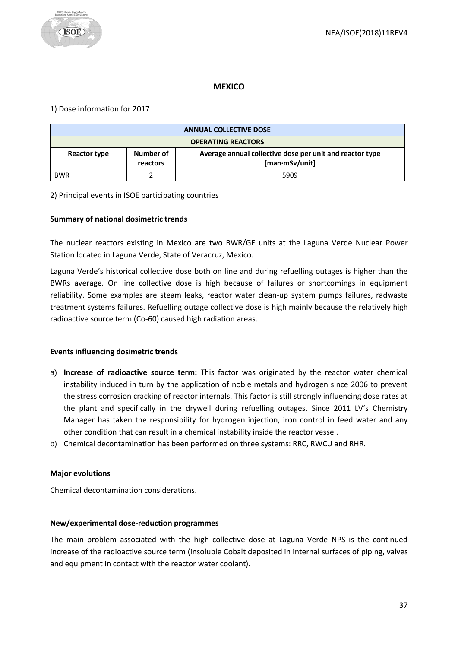## **MEXICO**

#### <span id="page-36-0"></span>1) Dose information for 2017

| <b>ANNUAL COLLECTIVE DOSE</b>                                                                                       |  |      |  |
|---------------------------------------------------------------------------------------------------------------------|--|------|--|
| <b>OPERATING REACTORS</b>                                                                                           |  |      |  |
| Average annual collective dose per unit and reactor type<br>Number of<br>Reactor type<br>[man·mSv/unit]<br>reactors |  |      |  |
| <b>BWR</b>                                                                                                          |  | 5909 |  |

#### 2) Principal events in ISOE participating countries

#### **Summary of national dosimetric trends**

The nuclear reactors existing in Mexico are two BWR/GE units at the Laguna Verde Nuclear Power Station located in Laguna Verde, State of Veracruz, Mexico.

Laguna Verde's historical collective dose both on line and during refuelling outages is higher than the BWRs average. On line collective dose is high because of failures or shortcomings in equipment reliability. Some examples are steam leaks, reactor water clean-up system pumps failures, radwaste treatment systems failures. Refuelling outage collective dose is high mainly because the relatively high radioactive source term (Co-60) caused high radiation areas.

#### **Events influencing dosimetric trends**

- a) **Increase of radioactive source term:** This factor was originated by the reactor water chemical instability induced in turn by the application of noble metals and hydrogen since 2006 to prevent the stress corrosion cracking of reactor internals. This factor is still strongly influencing dose rates at the plant and specifically in the drywell during refuelling outages. Since 2011 LV's Chemistry Manager has taken the responsibility for hydrogen injection, iron control in feed water and any other condition that can result in a chemical instability inside the reactor vessel.
- b) Chemical decontamination has been performed on three systems: RRC, RWCU and RHR.

#### **Major evolutions**

Chemical decontamination considerations.

#### **New/experimental dose-reduction programmes**

The main problem associated with the high collective dose at Laguna Verde NPS is the continued increase of the radioactive source term (insoluble Cobalt deposited in internal surfaces of piping, valves and equipment in contact with the reactor water coolant).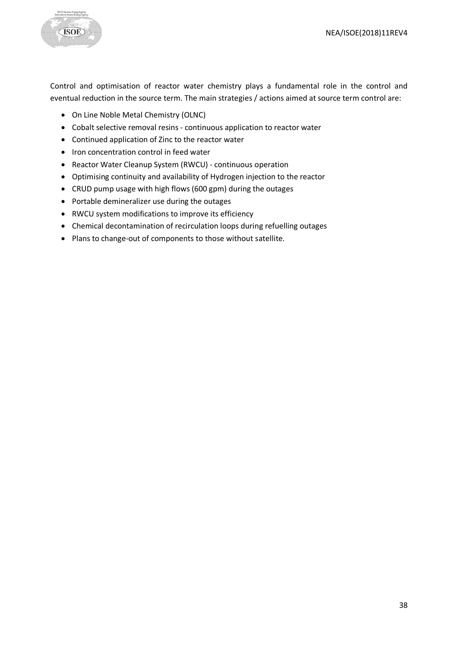

Control and optimisation of reactor water chemistry plays a fundamental role in the control and eventual reduction in the source term. The main strategies / actions aimed at source term control are:

- On Line Noble Metal Chemistry (OLNC)
- Cobalt selective removal resins continuous application to reactor water
- Continued application of Zinc to the reactor water
- Iron concentration control in feed water
- Reactor Water Cleanup System (RWCU) continuous operation
- Optimising continuity and availability of Hydrogen injection to the reactor
- CRUD pump usage with high flows (600 gpm) during the outages
- Portable demineralizer use during the outages
- RWCU system modifications to improve its efficiency
- Chemical decontamination of recirculation loops during refuelling outages
- Plans to change-out of components to those without satellite.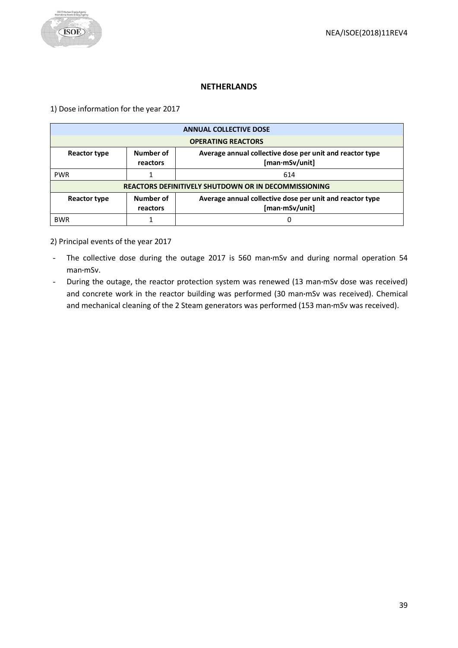## **NETHERLANDS**

<span id="page-38-0"></span>1) Dose information for the year 2017

| <b>ANNUAL COLLECTIVE DOSE</b> |                                                             |                                                                            |  |  |
|-------------------------------|-------------------------------------------------------------|----------------------------------------------------------------------------|--|--|
| <b>OPERATING REACTORS</b>     |                                                             |                                                                            |  |  |
| Reactor type                  | Number of<br>reactors                                       | Average annual collective dose per unit and reactor type<br>[man·mSv/unit] |  |  |
| <b>PWR</b>                    |                                                             | 614                                                                        |  |  |
|                               | <b>REACTORS DEFINITIVELY SHUTDOWN OR IN DECOMMISSIONING</b> |                                                                            |  |  |
| Reactor type                  | Number of<br>reactors                                       | Average annual collective dose per unit and reactor type<br>[man·mSv/unit] |  |  |
| <b>BWR</b>                    |                                                             | 0                                                                          |  |  |

2) Principal events of the year 2017

- The collective dose during the outage 2017 is 560 man**·**mSv and during normal operation 54 man**·**mSv.
- During the outage, the reactor protection system was renewed (13 man**·**mSv dose was received) and concrete work in the reactor building was performed (30 man**·**mSv was received). Chemical and mechanical cleaning of the 2 Steam generators was performed (153 man**·**mSv was received).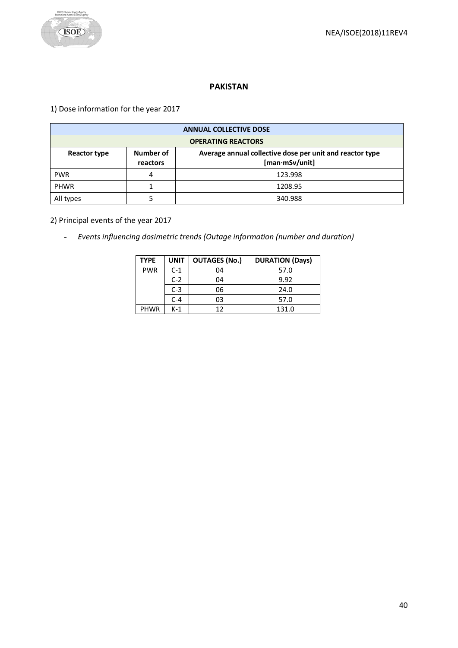

#### **PAKISTAN**

<span id="page-39-0"></span>1) Dose information for the year 2017

| <b>ANNUAL COLLECTIVE DOSE</b> |                       |                                                                            |  |
|-------------------------------|-----------------------|----------------------------------------------------------------------------|--|
| <b>OPERATING REACTORS</b>     |                       |                                                                            |  |
| Reactor type                  | Number of<br>reactors | Average annual collective dose per unit and reactor type<br>[man·mSv/unit] |  |
| <b>PWR</b>                    |                       | 123.998                                                                    |  |
| <b>PHWR</b>                   |                       | 1208.95                                                                    |  |
| All types                     |                       | 340.988                                                                    |  |

2) Principal events of the year 2017

- *Events influencing dosimetric trends (Outage information (number and duration)*

| <b>TYPE</b> | <b>UNIT</b> | <b>OUTAGES (No.)</b> | <b>DURATION (Days)</b> |
|-------------|-------------|----------------------|------------------------|
| <b>PWR</b>  | $C-1$       | 04                   | 57.0                   |
|             | $C-2$       | 04                   | 9.92                   |
|             | $C-3$       | 06                   | 24.0                   |
|             | $C-4$       | 03                   | 57.0                   |
| <b>PHWR</b> | K-1         | 12                   | 131.0                  |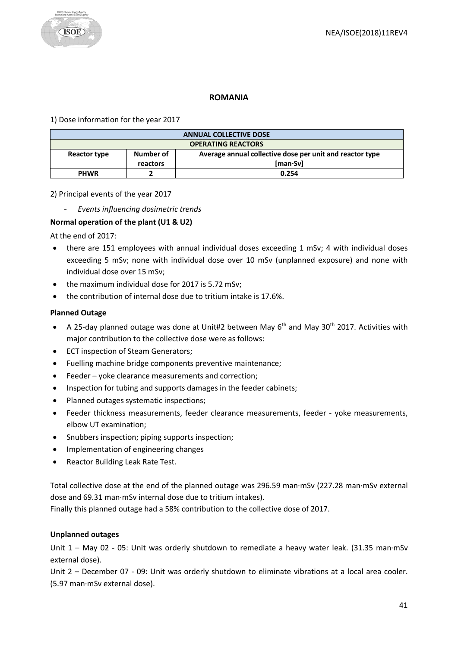

## **ROMANIA**

<span id="page-40-0"></span>1) Dose information for the year 2017

| <b>ANNUAL COLLECTIVE DOSE</b> |           |                                                          |  |
|-------------------------------|-----------|----------------------------------------------------------|--|
| <b>OPERATING REACTORS</b>     |           |                                                          |  |
| Reactor type                  | Number of | Average annual collective dose per unit and reactor type |  |
| [man·Sv]<br>reactors          |           |                                                          |  |
| <b>PHWR</b>                   |           | 0.254                                                    |  |

2) Principal events of the year 2017

- *Events influencing dosimetric trends*

## **Normal operation of the plant (U1 & U2)**

At the end of 2017:

- there are 151 employees with annual individual doses exceeding 1 mSv; 4 with individual doses exceeding 5 mSv; none with individual dose over 10 mSv (unplanned exposure) and none with individual dose over 15 mSv;
- the maximum individual dose for 2017 is 5.72 mSv;
- the contribution of internal dose due to tritium intake is 17.6%.

#### **Planned Outage**

- A 25-day planned outage was done at Unit#2 between May  $6<sup>th</sup>$  and May 30<sup>th</sup> 2017. Activities with major contribution to the collective dose were as follows:
- ECT inspection of Steam Generators;
- Fuelling machine bridge components preventive maintenance;
- Feeder yoke clearance measurements and correction;
- Inspection for tubing and supports damages in the feeder cabinets;
- Planned outages systematic inspections;
- Feeder thickness measurements, feeder clearance measurements, feeder yoke measurements, elbow UT examination;
- Snubbers inspection; piping supports inspection;
- Implementation of engineering changes
- Reactor Building Leak Rate Test.

Total collective dose at the end of the planned outage was 296.59 man·mSv (227.28 man·mSv external dose and 69.31 man·mSv internal dose due to tritium intakes).

Finally this planned outage had a 58% contribution to the collective dose of 2017.

#### **Unplanned outages**

Unit 1 – May 02 - 05: Unit was orderly shutdown to remediate a heavy water leak. (31.35 man·mSv external dose).

Unit 2 – December 07 - 09: Unit was orderly shutdown to eliminate vibrations at a local area cooler. (5.97 man·mSv external dose).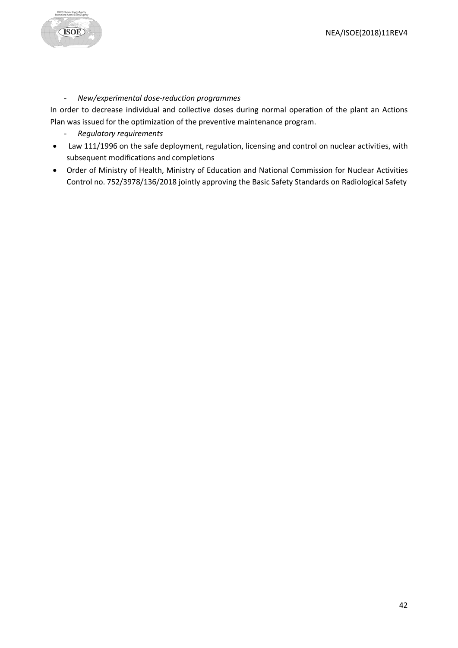

# - *New/experimental dose-reduction programmes*

In order to decrease individual and collective doses during normal operation of the plant an Actions Plan was issued for the optimization of the preventive maintenance program.

- *Regulatory requirements*
- Law 111/1996 on the safe deployment, regulation, licensing and control on nuclear activities, with subsequent modifications and completions
- Order of Ministry of Health, Ministry of Education and National Commission for Nuclear Activities Control no. 752/3978/136/2018 jointly approving the Basic Safety Standards on Radiological Safety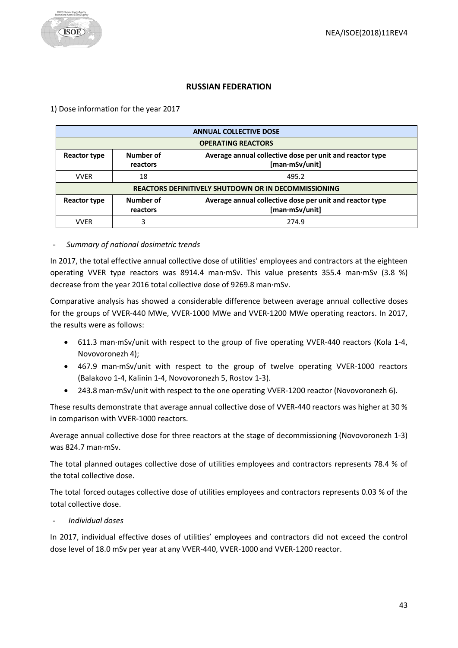# **RUSSIAN FEDERATION**

## <span id="page-42-0"></span>1) Dose information for the year 2017

| <b>ANNUAL COLLECTIVE DOSE</b>                                                                                       |                                                             |                                                                            |  |  |
|---------------------------------------------------------------------------------------------------------------------|-------------------------------------------------------------|----------------------------------------------------------------------------|--|--|
| <b>OPERATING REACTORS</b>                                                                                           |                                                             |                                                                            |  |  |
| Number of<br>Average annual collective dose per unit and reactor type<br>Reactor type<br>[man·mSv/unit]<br>reactors |                                                             |                                                                            |  |  |
| <b>VVER</b>                                                                                                         | 18<br>495.2                                                 |                                                                            |  |  |
|                                                                                                                     | <b>REACTORS DEFINITIVELY SHUTDOWN OR IN DECOMMISSIONING</b> |                                                                            |  |  |
| Reactor type                                                                                                        | Number of<br>reactors                                       | Average annual collective dose per unit and reactor type<br>[man·mSv/unit] |  |  |
| <b>VVFR</b>                                                                                                         | 3                                                           | 274.9                                                                      |  |  |

## - *Summary of national dosimetric trends*

In 2017, the total effective annual collective dose of utilities' employees and contractors at the eighteen operating VVER type reactors was 8914.4 man·mSv. This value presents 355.4 man·mSv (3.8 %) decrease from the year 2016 total collective dose of 9269.8 man·mSv.

Comparative analysis has showed a considerable difference between average annual collective doses for the groups of VVER-440 MWe, VVER-1000 MWe and VVER-1200 MWe operating reactors. In 2017, the results were as follows:

- 611.3 man·mSv/unit with respect to the group of five operating VVER-440 reactors (Kola 1-4, Novovoronezh 4);
- 467.9 man·mSv/unit with respect to the group of twelve operating VVER-1000 reactors (Balakovo 1-4, Kalinin 1-4, Novovoronezh 5, Rostov 1-3).
- 243.8 man·mSv/unit with respect to the one operating VVER-1200 reactor (Novovoronezh 6).

These results demonstrate that average annual collective dose of VVER-440 reactors was higher at 30 % in comparison with VVER-1000 reactors.

Average annual collective dose for three reactors at the stage of decommissioning (Novovoronezh 1-3) was 824.7 man·mSv.

The total planned outages collective dose of utilities employees and contractors represents 78.4 % of the total collective dose.

The total forced outages collective dose of utilities employees and contractors represents 0.03 % of the total collective dose.

- *Individual doses*

In 2017, individual effective doses of utilities' employees and contractors did not exceed the control dose level of 18.0 mSv per year at any VVER-440, VVER-1000 and VVER-1200 reactor.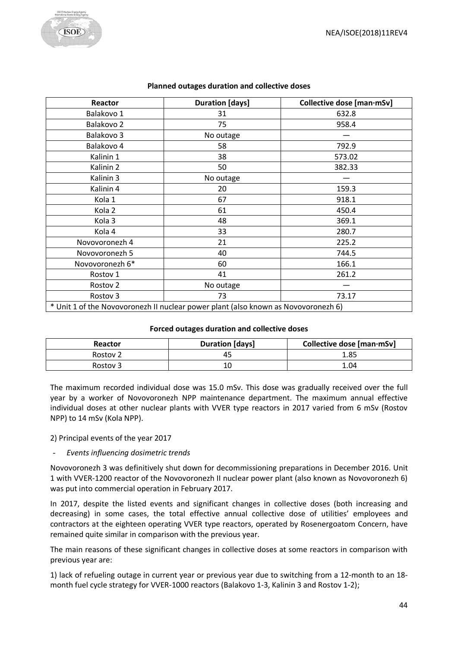

| Reactor                                                                            | <b>Duration</b> [days] | Collective dose [man·mSv] |  |  |
|------------------------------------------------------------------------------------|------------------------|---------------------------|--|--|
| Balakovo 1                                                                         | 31                     | 632.8                     |  |  |
| Balakovo 2                                                                         | 75                     | 958.4                     |  |  |
| Balakovo 3                                                                         | No outage              |                           |  |  |
| Balakovo 4                                                                         | 58                     | 792.9                     |  |  |
| Kalinin 1                                                                          | 38                     | 573.02                    |  |  |
| Kalinin 2                                                                          | 50                     | 382.33                    |  |  |
| Kalinin 3                                                                          | No outage              |                           |  |  |
| Kalinin 4                                                                          | 20                     | 159.3                     |  |  |
| Kola 1                                                                             | 67                     | 918.1                     |  |  |
| Kola 2                                                                             | 61                     | 450.4                     |  |  |
| Kola <sub>3</sub>                                                                  | 48                     | 369.1                     |  |  |
| Kola 4                                                                             | 33                     | 280.7                     |  |  |
| Novovoronezh 4                                                                     | 21                     | 225.2                     |  |  |
| Novovoronezh 5                                                                     | 40                     | 744.5                     |  |  |
| Novovoronezh 6*                                                                    | 60                     | 166.1                     |  |  |
| Rostov 1                                                                           | 41                     | 261.2                     |  |  |
| Rostov <sub>2</sub>                                                                | No outage              |                           |  |  |
| Rostov 3                                                                           | 73                     | 73.17                     |  |  |
| * Unit 1 of the Novovoronezh II nuclear power plant (also known as Novovoronezh 6) |                        |                           |  |  |

#### **Planned outages duration and collective doses**

#### **Forced outages duration and collective doses**

| Reactor             | <b>Duration [days]</b> | Collective dose [man·mSv] |
|---------------------|------------------------|---------------------------|
| Rostov <sub>2</sub> |                        | 1.85                      |
| Rostov 3            |                        | 1.04                      |

The maximum recorded individual dose was 15.0 mSv. This dose was gradually received over the full year by a worker of Novovoronezh NPP maintenance department. The maximum annual effective individual doses at other nuclear plants with VVER type reactors in 2017 varied from 6 mSv (Rostov NPP) to 14 mSv (Kola NPP).

2) Principal events of the year 2017

#### - *Events influencing dosimetric trends*

Novovoronezh 3 was definitively shut down for decommissioning preparations in December 2016. Unit 1 with VVER-1200 reactor of the Novovoronezh II nuclear power plant (also known as Novovoronezh 6) was put into commercial operation in February 2017.

In 2017, despite the listed events and significant changes in collective doses (both increasing and decreasing) in some cases, the total effective annual collective dose of utilities' employees and contractors at the eighteen operating VVER type reactors, operated by Rosenergoatom Concern, have remained quite similar in comparison with the previous year.

The main reasons of these significant changes in collective doses at some reactors in comparison with previous year are:

1) lack of refueling outage in current year or previous year due to switching from a 12-month to an 18 month fuel cycle strategy for VVER-1000 reactors (Balakovo 1-3, Kalinin 3 and Rostov 1-2);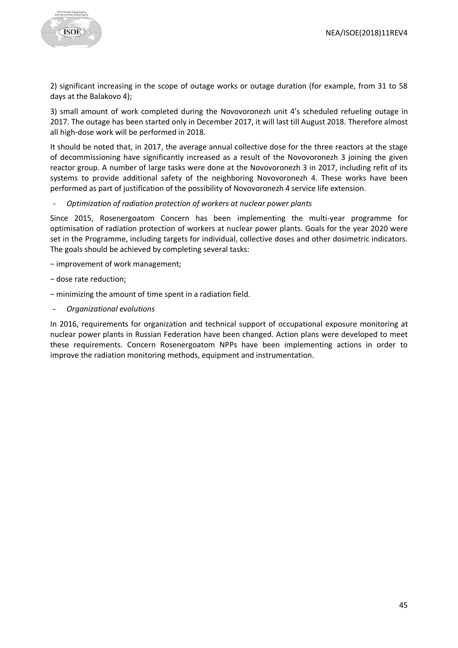

2) significant increasing in the scope of outage works or outage duration (for example, from 31 to 58 days at the Balakovo 4);

3) small amount of work completed during the Novovoronezh unit 4's scheduled refueling outage in 2017. The outage has been started only in December 2017, it will last till August 2018. Therefore almost all high-dose work will be performed in 2018.

It should be noted that, in 2017, the average annual collective dose for the three reactors at the stage of decommissioning have significantly increased as a result of the Novovoronezh 3 joining the given reactor group. A number of large tasks were done at the Novovoronezh 3 in 2017, including refit of its systems to provide additional safety of the neighboring Novovoronezh 4. These works have been performed as part of justification of the possibility of Novovoronezh 4 service life extension.

- *Optimization of radiation protection of workers at nuclear power plants*

Since 2015, Rosenergoatom Concern has been implementing the multi-year programme for optimisation of radiation protection of workers at nuclear power plants. Goals for the year 2020 were set in the Programme, including targets for individual, collective doses and other dosimetric indicators. The goals should be achieved by completing several tasks:

- − improvement of work management;
- − dose rate reduction;
- − minimizing the amount of time spent in a radiation field.
- *Organizational evolutions*

In 2016, requirements for organization and technical support of occupational exposure monitoring at nuclear power plants in Russian Federation have been changed. Action plans were developed to meet these requirements. Concern Rosenergoatom NPPs have been implementing actions in order to improve the radiation monitoring methods, equipment and instrumentation.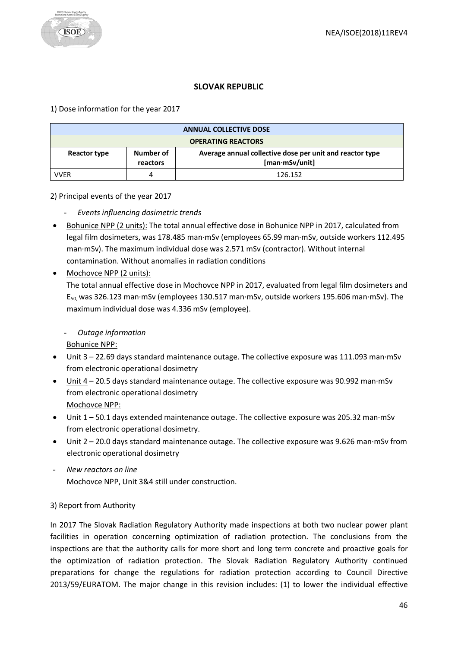# **SLOVAK REPUBLIC**

<span id="page-45-0"></span>1) Dose information for the year 2017

| <b>ANNUAL COLLECTIVE DOSE</b> |                       |                                                                                   |
|-------------------------------|-----------------------|-----------------------------------------------------------------------------------|
| <b>OPERATING REACTORS</b>     |                       |                                                                                   |
| Reactor type                  | Number of<br>reactors | Average annual collective dose per unit and reactor type<br>$[man\cdot mSv/unit]$ |
| <b>VVER</b>                   |                       | 126.152                                                                           |

2) Principal events of the year 2017

- *Events influencing dosimetric trends*
- Bohunice NPP (2 units): The total annual effective dose in Bohunice NPP in 2017, calculated from legal film dosimeters, was 178.485 man·mSv (employees 65.99 man·mSv, outside workers 112.495 man·mSv). The maximum individual dose was 2.571 mSv (contractor). Without internal contamination. Without anomalies in radiation conditions
- Mochovce NPP (2 units):

The total annual effective dose in Mochovce NPP in 2017, evaluated from legal film dosimeters and E50, was 326.123 man·mSv (employees 130.517 man·mSv, outside workers 195.606 man·mSv). The maximum individual dose was 4.336 mSv (employee).

# - *Outage information*

Bohunice NPP:

- Unit 3 22.69 days standard maintenance outage. The collective exposure was 111.093 man·mSv from electronic operational dosimetry
- Unit 4 20.5 days standard maintenance outage. The collective exposure was 90.992 man·mSv from electronic operational dosimetry Mochovce NPP:
- Unit 1 50.1 days extended maintenance outage. The collective exposure was 205.32 man·mSv from electronic operational dosimetry.
- Unit 2 20.0 days standard maintenance outage. The collective exposure was 9.626 man·mSv from electronic operational dosimetry
- *New reactors on line* Mochovce NPP, Unit 3&4 still under construction.

# 3) Report from Authority

In 2017 The Slovak Radiation Regulatory Authority made inspections at both two nuclear power plant facilities in operation concerning optimization of radiation protection. The conclusions from the inspections are that the authority calls for more short and long term concrete and proactive goals for the optimization of radiation protection. The Slovak Radiation Regulatory Authority continued preparations for change the regulations for radiation protection according to Council Directive 2013/59/EURATOM. The major change in this revision includes: (1) to lower the individual effective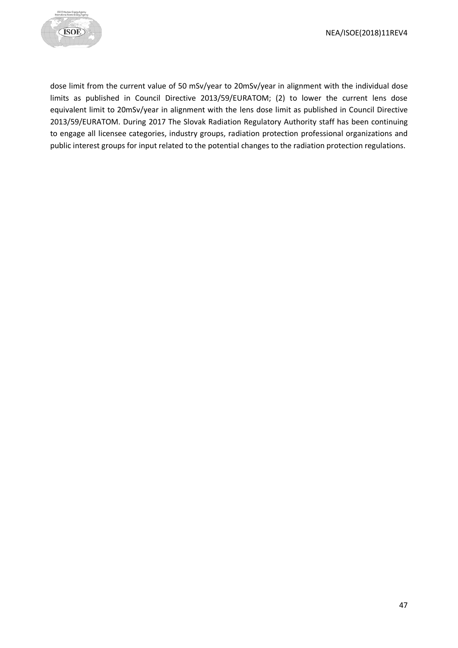

dose limit from the current value of 50 mSv/year to 20mSv/year in alignment with the individual dose limits as published in Council Directive 2013/59/EURATOM; (2) to lower the current lens dose equivalent limit to 20mSv/year in alignment with the lens dose limit as published in Council Directive 2013/59/EURATOM. During 2017 The Slovak Radiation Regulatory Authority staff has been continuing to engage all licensee categories, industry groups, radiation protection professional organizations and public interest groups for input related to the potential changes to the radiation protection regulations.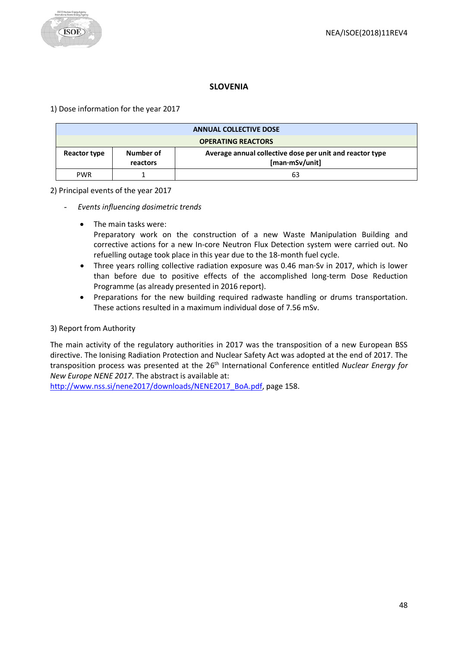# **SLOVENIA**

<span id="page-47-0"></span>1) Dose information for the year 2017

|                           | <b>ANNUAL COLLECTIVE DOSE</b> |                                                                                   |  |
|---------------------------|-------------------------------|-----------------------------------------------------------------------------------|--|
| <b>OPERATING REACTORS</b> |                               |                                                                                   |  |
| Reactor type              | Number of<br>reactors         | Average annual collective dose per unit and reactor type<br>$[man\cdot mSv/unit]$ |  |
| <b>PWR</b>                |                               | 63                                                                                |  |

2) Principal events of the year 2017

- *Events influencing dosimetric trends* 
	- The main tasks were:

Preparatory work on the construction of a new Waste Manipulation Building and corrective actions for a new In-core Neutron Flux Detection system were carried out. No refuelling outage took place in this year due to the 18-month fuel cycle.

- Three years rolling collective radiation exposure was 0.46 man·Sv in 2017, which is lower than before due to positive effects of the accomplished long-term Dose Reduction Programme (as already presented in 2016 report).
- Preparations for the new building required radwaste handling or drums transportation. These actions resulted in a maximum individual dose of 7.56 mSv.

## 3) Report from Authority

The main activity of the regulatory authorities in 2017 was the transposition of a new European BSS directive. The Ionising Radiation Protection and Nuclear Safety Act was adopted at the end of 2017. The transposition process was presented at the 26<sup>th</sup> International Conference entitled *Nuclear Energy for New Europe NENE 2017*. The abstract is available at:

[http://www.nss.si/nene2017/downloads/NENE2017\\_BoA.pdf,](http://www.nss.si/nene2017/downloads/NENE2017_BoA.pdf) page 158.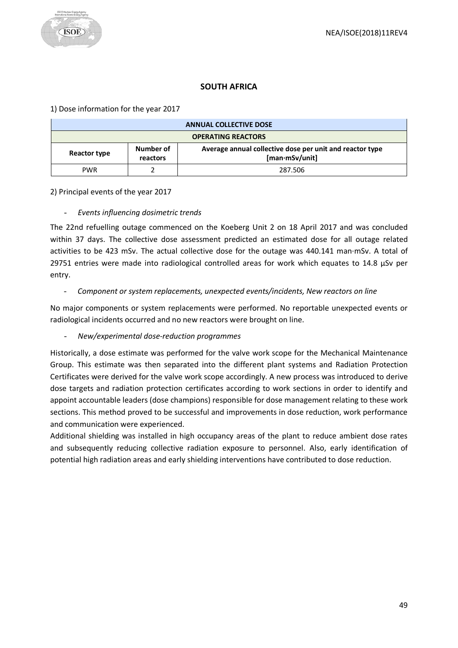# **SOUTH AFRICA**

<span id="page-48-0"></span>1) Dose information for the year 2017

|                                       | <b>ANNUAL COLLECTIVE DOSE</b> |                                                                            |  |
|---------------------------------------|-------------------------------|----------------------------------------------------------------------------|--|
| <b>OPERATING REACTORS</b>             |                               |                                                                            |  |
| Number of<br>Reactor type<br>reactors |                               | Average annual collective dose per unit and reactor type<br>[man·mSv/unit] |  |
| <b>PWR</b>                            |                               | 287.506                                                                    |  |

2) Principal events of the year 2017

## - *Events influencing dosimetric trends*

The 22nd refuelling outage commenced on the Koeberg Unit 2 on 18 April 2017 and was concluded within 37 days. The collective dose assessment predicted an estimated dose for all outage related activities to be 423 mSv. The actual collective dose for the outage was 440.141 man·mSv. A total of 29751 entries were made into radiological controlled areas for work which equates to 14.8 µSv per entry.

#### - *Component or system replacements, unexpected events/incidents, New reactors on line*

No major components or system replacements were performed. No reportable unexpected events or radiological incidents occurred and no new reactors were brought on line.

## - *New/experimental dose-reduction programmes*

Historically, a dose estimate was performed for the valve work scope for the Mechanical Maintenance Group. This estimate was then separated into the different plant systems and Radiation Protection Certificates were derived for the valve work scope accordingly. A new process was introduced to derive dose targets and radiation protection certificates according to work sections in order to identify and appoint accountable leaders (dose champions) responsible for dose management relating to these work sections. This method proved to be successful and improvements in dose reduction, work performance and communication were experienced.

Additional shielding was installed in high occupancy areas of the plant to reduce ambient dose rates and subsequently reducing collective radiation exposure to personnel. Also, early identification of potential high radiation areas and early shielding interventions have contributed to dose reduction.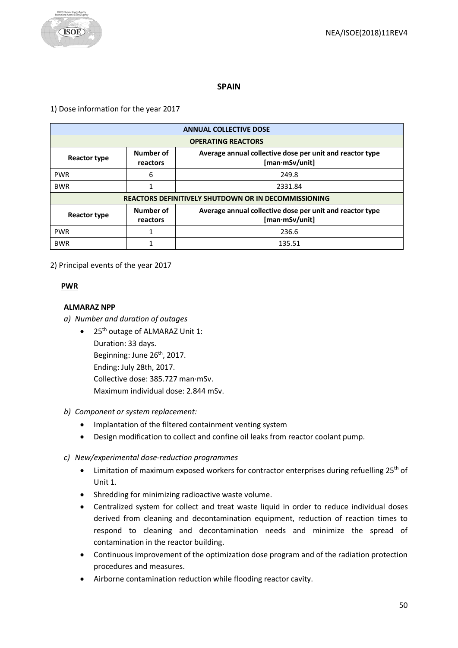

## **SPAIN**

<span id="page-49-0"></span>1) Dose information for the year 2017

| <b>ANNUAL COLLECTIVE DOSE</b>                                                                                              |   |                           |  |  |  |
|----------------------------------------------------------------------------------------------------------------------------|---|---------------------------|--|--|--|
|                                                                                                                            |   | <b>OPERATING REACTORS</b> |  |  |  |
| Number of<br>Average annual collective dose per unit and reactor type<br><b>Reactor type</b><br>[man·mSv/unit]<br>reactors |   |                           |  |  |  |
| <b>PWR</b>                                                                                                                 | 6 | 249.8                     |  |  |  |
| <b>BWR</b>                                                                                                                 |   | 2331.84                   |  |  |  |
| <b>REACTORS DEFINITIVELY SHUTDOWN OR IN DECOMMISSIONING</b>                                                                |   |                           |  |  |  |
| Number of<br>Average annual collective dose per unit and reactor type<br><b>Reactor type</b><br>[man·mSv/unit]<br>reactors |   |                           |  |  |  |
| <b>PWR</b>                                                                                                                 |   | 236.6                     |  |  |  |
| <b>BWR</b>                                                                                                                 |   | 135.51                    |  |  |  |

2) Principal events of the year 2017

## **PWR**

#### **ALMARAZ NPP**

- *a) Number and duration of outages*
	- 25<sup>th</sup> outage of ALMARAZ Unit 1: Duration: 33 days. Beginning: June 26<sup>th</sup>, 2017. Ending: July 28th, 2017. Collective dose: 385.727 man·mSv. Maximum individual dose: 2.844 mSv.
- *b) Component or system replacement:*
	- Implantation of the filtered containment venting system
	- Design modification to collect and confine oil leaks from reactor coolant pump.
- *c) New/experimental dose-reduction programmes*
	- Limitation of maximum exposed workers for contractor enterprises during refuelling 25<sup>th</sup> of Unit 1.
	- Shredding for minimizing radioactive waste volume.
	- Centralized system for collect and treat waste liquid in order to reduce individual doses derived from cleaning and decontamination equipment, reduction of reaction times to respond to cleaning and decontamination needs and minimize the spread of contamination in the reactor building.
	- Continuous improvement of the optimization dose program and of the radiation protection procedures and measures.
	- Airborne contamination reduction while flooding reactor cavity.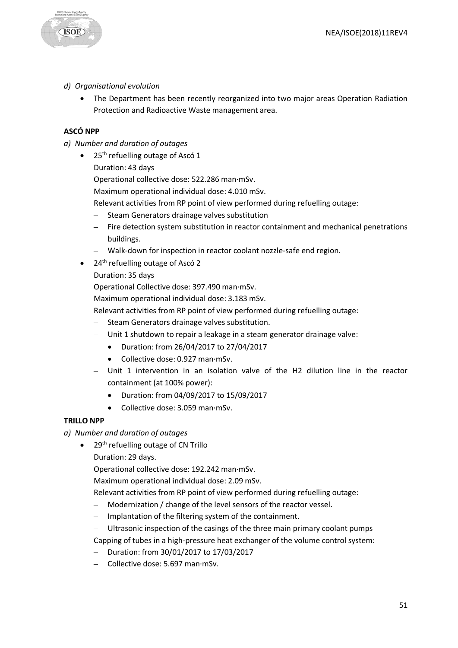

## *d) Organisational evolution*

• The Department has been recently reorganized into two major areas Operation Radiation Protection and Radioactive Waste management area.

# **ASCÓ NPP**

- *a) Number and duration of outages*
	- 25<sup>th</sup> refuelling outage of Ascó 1
		- Duration: 43 days
		- Operational collective dose: 522.286 man·mSv.
		- Maximum operational individual dose: 4.010 mSv.
		- Relevant activities from RP point of view performed during refuelling outage:
		- Steam Generators drainage valves substitution
		- Fire detection system substitution in reactor containment and mechanical penetrations buildings.
		- Walk-down for inspection in reactor coolant nozzle-safe end region.
	- $\bullet$  24<sup>th</sup> refuelling outage of Ascó 2
		- Duration: 35 days

Operational Collective dose: 397.490 man·mSv.

Maximum operational individual dose: 3.183 mSv.

Relevant activities from RP point of view performed during refuelling outage:

- Steam Generators drainage valves substitution.
- Unit 1 shutdown to repair a leakage in a steam generator drainage valve:
	- Duration: from 26/04/2017 to 27/04/2017
	- Collective dose: 0.927 man·mSv.
- Unit 1 intervention in an isolation valve of the H2 dilution line in the reactor containment (at 100% power):
	- Duration: from 04/09/2017 to 15/09/2017
	- Collective dose: 3.059 man·mSv.

#### **TRILLO NPP**

*a) Number and duration of outages*

- $\bullet$  29<sup>th</sup> refuelling outage of CN Trillo
	- Duration: 29 days.

Operational collective dose: 192.242 man·mSv.

Maximum operational individual dose: 2.09 mSv.

Relevant activities from RP point of view performed during refuelling outage:

- Modernization / change of the level sensors of the reactor vessel.
- Implantation of the filtering system of the containment.
- Ultrasonic inspection of the casings of the three main primary coolant pumps

Capping of tubes in a high-pressure heat exchanger of the volume control system:

- Duration: from 30/01/2017 to 17/03/2017
- Collective dose: 5.697 man·mSv.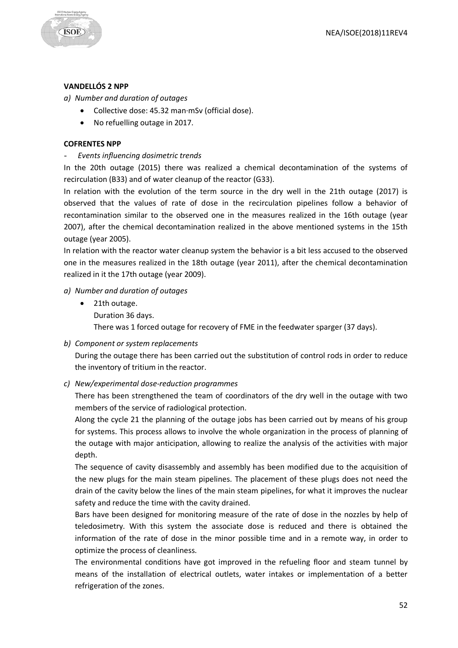

## **VANDELLÓS 2 NPP**

*a) Number and duration of outages*

- Collective dose: 45.32 man·mSv (official dose).
- No refuelling outage in 2017.

#### **COFRENTES NPP**

- *Events influencing dosimetric trends*

In the 20th outage (2015) there was realized a chemical decontamination of the systems of recirculation (B33) and of water cleanup of the reactor (G33).

In relation with the evolution of the term source in the dry well in the 21th outage (2017) is observed that the values of rate of dose in the recirculation pipelines follow a behavior of recontamination similar to the observed one in the measures realized in the 16th outage (year 2007), after the chemical decontamination realized in the above mentioned systems in the 15th outage (year 2005).

In relation with the reactor water cleanup system the behavior is a bit less accused to the observed one in the measures realized in the 18th outage (year 2011), after the chemical decontamination realized in it the 17th outage (year 2009).

## *a) Number and duration of outages*

- 21th outage.
	- Duration 36 days.

There was 1 forced outage for recovery of FME in the feedwater sparger (37 days).

*b) Component or system replacements*

During the outage there has been carried out the substitution of control rods in order to reduce the inventory of tritium in the reactor.

*c) New/experimental dose-reduction programmes*

There has been strengthened the team of coordinators of the dry well in the outage with two members of the service of radiological protection.

Along the cycle 21 the planning of the outage jobs has been carried out by means of his group for systems. This process allows to involve the whole organization in the process of planning of the outage with major anticipation, allowing to realize the analysis of the activities with major depth.

The sequence of cavity disassembly and assembly has been modified due to the acquisition of the new plugs for the main steam pipelines. The placement of these plugs does not need the drain of the cavity below the lines of the main steam pipelines, for what it improves the nuclear safety and reduce the time with the cavity drained.

Bars have been designed for monitoring measure of the rate of dose in the nozzles by help of teledosimetry. With this system the associate dose is reduced and there is obtained the information of the rate of dose in the minor possible time and in a remote way, in order to optimize the process of cleanliness.

The environmental conditions have got improved in the refueling floor and steam tunnel by means of the installation of electrical outlets, water intakes or implementation of a better refrigeration of the zones.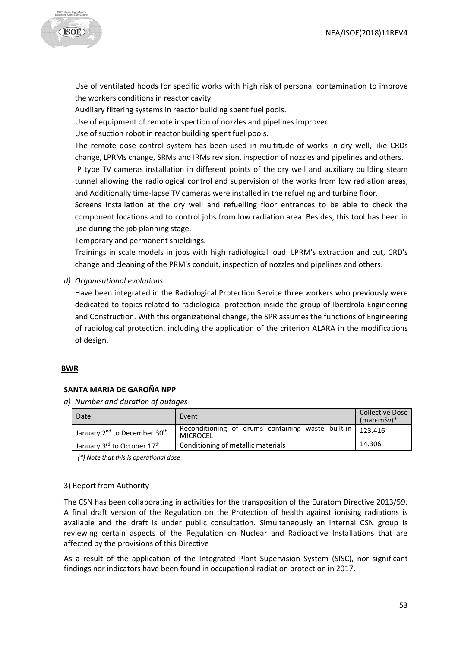

Use of ventilated hoods for specific works with high risk of personal contamination to improve the workers conditions in reactor cavity.

Auxiliary filtering systems in reactor building spent fuel pools.

Use of equipment of remote inspection of nozzles and pipelines improved.

Use of suction robot in reactor building spent fuel pools.

The remote dose control system has been used in multitude of works in dry well, like CRDs change, LPRMs change, SRMs and IRMs revision, inspection of nozzles and pipelines and others.

IP type TV cameras installation in different points of the dry well and auxiliary building steam tunnel allowing the radiological control and supervision of the works from low radiation areas, and Additionally time-lapse TV cameras were installed in the refueling and turbine floor.

Screens installation at the dry well and refuelling floor entrances to be able to check the component locations and to control jobs from low radiation area. Besides, this tool has been in use during the job planning stage.

Temporary and permanent shieldings.

Trainings in scale models in jobs with high radiological load: LPRM's extraction and cut, CRD's change and cleaning of the PRM's conduit, inspection of nozzles and pipelines and others.

*d) Organisational evolutions*

Have been integrated in the Radiological Protection Service three workers who previously were dedicated to topics related to radiological protection inside the group of Iberdrola Engineering and Construction. With this organizational change, the SPR assumes the functions of Engineering of radiological protection, including the application of the criterion ALARA in the modifications of design.

#### **BWR**

## **SANTA MARIA DE GAROÑA NPP**

*a) Number and duration of outages*

| Date                                                 | Event                                                                   | <b>Collective Dose</b><br>$(man \cdot mSv)*$ |
|------------------------------------------------------|-------------------------------------------------------------------------|----------------------------------------------|
| January 2 <sup>nd</sup> to December 30 <sup>th</sup> | Reconditioning of drums containing waste built-in   123.416<br>MICROCEL |                                              |
| January 3rd to October 17th                          | Conditioning of metallic materials                                      | 14.306                                       |

*(\*) Note that this is operational dose*

#### 3) Report from Authority

The CSN has been collaborating in activities for the transposition of the Euratom Directive 2013/59. A final draft version of the Regulation on the Protection of health against ionising radiations is available and the draft is under public consultation. Simultaneously an internal CSN group is reviewing certain aspects of the Regulation on Nuclear and Radioactive Installations that are affected by the provisions of this Directive

As a result of the application of the Integrated Plant Supervision System (SISC), nor significant findings nor indicators have been found in occupational radiation protection in 2017.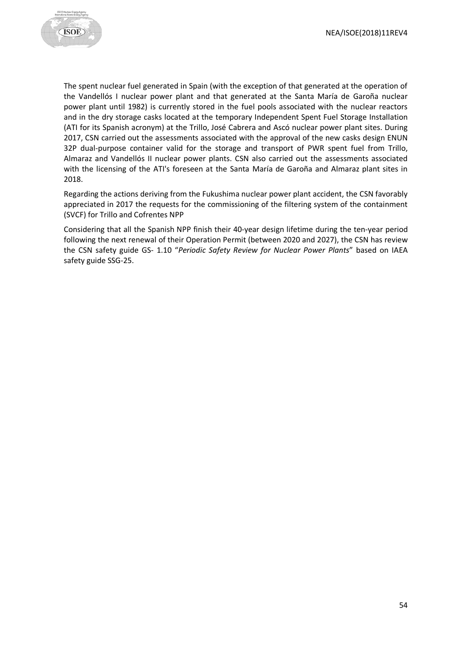

The spent nuclear fuel generated in Spain (with the exception of that generated at the operation of the Vandellós I nuclear power plant and that generated at the Santa María de Garoña nuclear power plant until 1982) is currently stored in the fuel pools associated with the nuclear reactors and in the dry storage casks located at the temporary Independent Spent Fuel Storage Installation (ATI for its Spanish acronym) at the Trillo, José Cabrera and Ascó nuclear power plant sites. During 2017, CSN carried out the assessments associated with the approval of the new casks design ENUN 32P dual-purpose container valid for the storage and transport of PWR spent fuel from Trillo, Almaraz and Vandellós II nuclear power plants. CSN also carried out the assessments associated with the licensing of the ATI's foreseen at the Santa María de Garoña and Almaraz plant sites in 2018.

Regarding the actions deriving from the Fukushima nuclear power plant accident, the CSN favorably appreciated in 2017 the requests for the commissioning of the filtering system of the containment (SVCF) for Trillo and Cofrentes NPP

Considering that all the Spanish NPP finish their 40-year design lifetime during the ten-year period following the next renewal of their Operation Permit (between 2020 and 2027), the CSN has review the CSN safety guide GS- 1.10 "*Periodic Safety Review for Nuclear Power Plants*" based on IAEA safety guide SSG-25.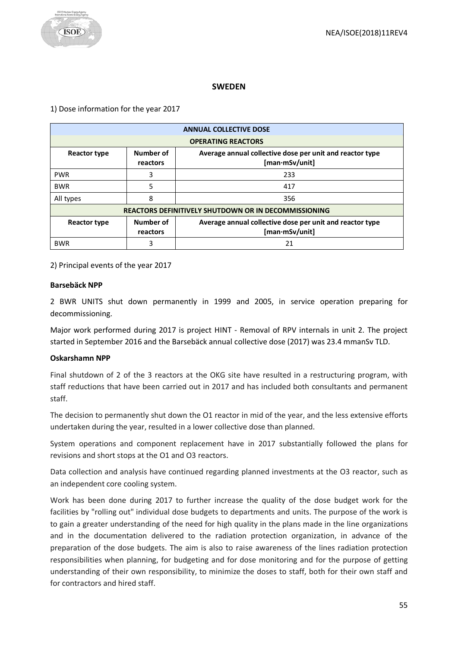## **SWEDEN**

<span id="page-54-0"></span>1) Dose information for the year 2017

| <b>ANNUAL COLLECTIVE DOSE</b> |                                                                                                     |     |  |  |
|-------------------------------|-----------------------------------------------------------------------------------------------------|-----|--|--|
|                               | <b>OPERATING REACTORS</b>                                                                           |     |  |  |
| Reactor type                  | Number of<br>Average annual collective dose per unit and reactor type<br>[man·mSv/unit]<br>reactors |     |  |  |
| <b>PWR</b>                    | 3                                                                                                   | 233 |  |  |
| <b>BWR</b>                    | 5                                                                                                   | 417 |  |  |
| All types                     | 8                                                                                                   | 356 |  |  |
|                               | <b>REACTORS DEFINITIVELY SHUTDOWN OR IN DECOMMISSIONING</b>                                         |     |  |  |
| Reactor type                  | Number of<br>Average annual collective dose per unit and reactor type<br>[man·mSv/unit]<br>reactors |     |  |  |
| <b>BWR</b>                    | 3                                                                                                   | 21  |  |  |

2) Principal events of the year 2017

#### **Barsebäck NPP**

2 BWR UNITS shut down permanently in 1999 and 2005, in service operation preparing for decommissioning.

Major work performed during 2017 is project HINT - Removal of RPV internals in unit 2. The project started in September 2016 and the Barsebäck annual collective dose (2017) was 23.4 mmanSv TLD.

## **Oskarshamn NPP**

Final shutdown of 2 of the 3 reactors at the OKG site have resulted in a restructuring program, with staff reductions that have been carried out in 2017 and has included both consultants and permanent staff.

The decision to permanently shut down the O1 reactor in mid of the year, and the less extensive efforts undertaken during the year, resulted in a lower collective dose than planned.

System operations and component replacement have in 2017 substantially followed the plans for revisions and short stops at the O1 and O3 reactors.

Data collection and analysis have continued regarding planned investments at the O3 reactor, such as an independent core cooling system.

Work has been done during 2017 to further increase the quality of the dose budget work for the facilities by "rolling out" individual dose budgets to departments and units. The purpose of the work is to gain a greater understanding of the need for high quality in the plans made in the line organizations and in the documentation delivered to the radiation protection organization, in advance of the preparation of the dose budgets. The aim is also to raise awareness of the lines radiation protection responsibilities when planning, for budgeting and for dose monitoring and for the purpose of getting understanding of their own responsibility, to minimize the doses to staff, both for their own staff and for contractors and hired staff.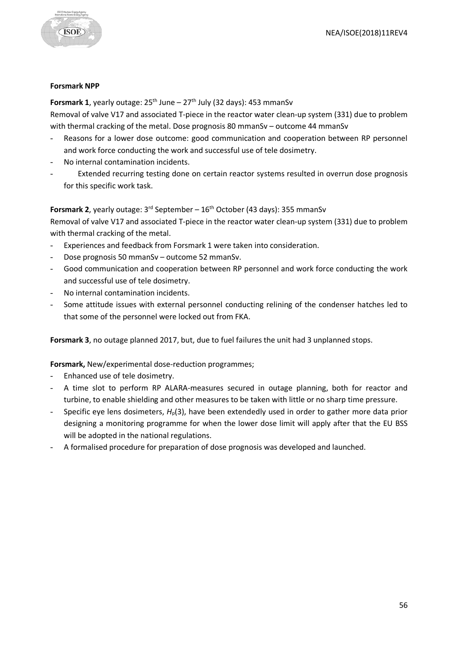

#### **Forsmark NPP**

**Forsmark 1, yearly outage:**  $25^{th}$  **June –**  $27^{th}$  **July (32 days): 453 mmanSv** Removal of valve V17 and associated T-piece in the reactor water clean-up system (331) due to problem with thermal cracking of the metal. Dose prognosis 80 mmanSv – outcome 44 mmanSv

- Reasons for a lower dose outcome: good communication and cooperation between RP personnel and work force conducting the work and successful use of tele dosimetry.
- No internal contamination incidents.
- Extended recurring testing done on certain reactor systems resulted in overrun dose prognosis for this specific work task.

# **Forsmark 2**, yearly outage: 3<sup>rd</sup> September – 16<sup>th</sup> October (43 days): 355 mmanSv

Removal of valve V17 and associated T-piece in the reactor water clean-up system (331) due to problem with thermal cracking of the metal.

- Experiences and feedback from Forsmark 1 were taken into consideration.
- Dose prognosis 50 mmanSv outcome 52 mmanSv.
- Good communication and cooperation between RP personnel and work force conducting the work and successful use of tele dosimetry.
- No internal contamination incidents.
- Some attitude issues with external personnel conducting relining of the condenser hatches led to that some of the personnel were locked out from FKA.

**Forsmark 3**, no outage planned 2017, but, due to fuel failures the unit had 3 unplanned stops.

## **Forsmark,** New/experimental dose-reduction programmes;

- Enhanced use of tele dosimetry.
- A time slot to perform RP ALARA-measures secured in outage planning, both for reactor and turbine, to enable shielding and other measures to be taken with little or no sharp time pressure.
- Specific eye lens dosimeters,  $H<sub>p</sub>(3)$ , have been extendedly used in order to gather more data prior designing a monitoring programme for when the lower dose limit will apply after that the EU BSS will be adopted in the national regulations.
- A formalised procedure for preparation of dose prognosis was developed and launched.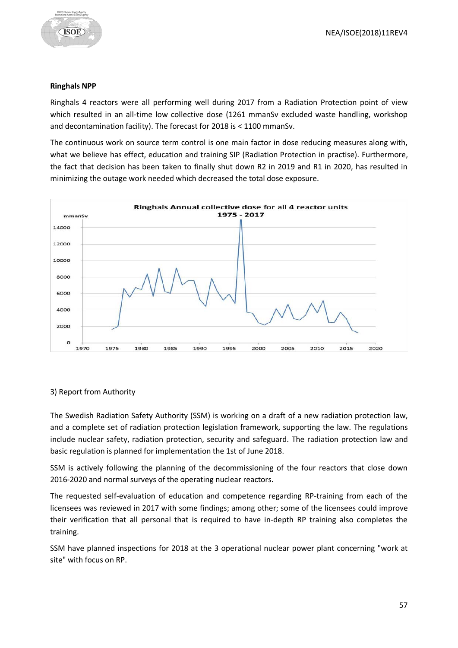

#### **Ringhals NPP**

Ringhals 4 reactors were all performing well during 2017 from a Radiation Protection point of view which resulted in an all-time low collective dose (1261 mmanSv excluded waste handling, workshop and decontamination facility). The forecast for 2018 is < 1100 mmanSv.

The continuous work on source term control is one main factor in dose reducing measures along with, what we believe has effect, education and training SIP (Radiation Protection in practise). Furthermore, the fact that decision has been taken to finally shut down R2 in 2019 and R1 in 2020, has resulted in minimizing the outage work needed which decreased the total dose exposure.



# 3) Report from Authority

The Swedish Radiation Safety Authority (SSM) is working on a draft of a new radiation protection law, and a complete set of radiation protection legislation framework, supporting the law. The regulations include nuclear safety, radiation protection, security and safeguard. The radiation protection law and basic regulation is planned for implementation the 1st of June 2018.

SSM is actively following the planning of the decommissioning of the four reactors that close down 2016-2020 and normal surveys of the operating nuclear reactors.

The requested self-evaluation of education and competence regarding RP-training from each of the licensees was reviewed in 2017 with some findings; among other; some of the licensees could improve their verification that all personal that is required to have in-depth RP training also completes the training.

SSM have planned inspections for 2018 at the 3 operational nuclear power plant concerning "work at site" with focus on RP.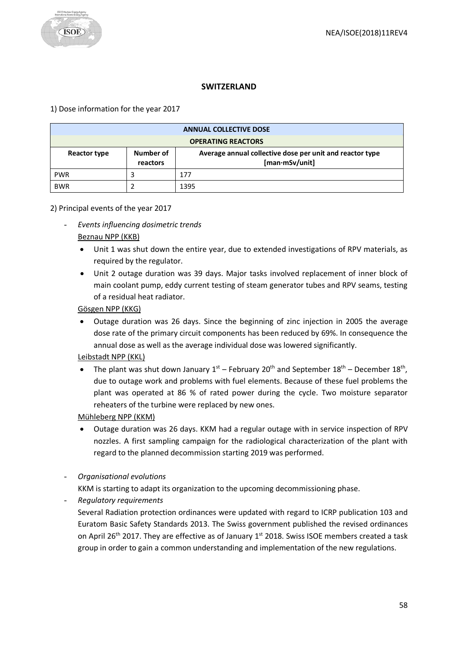

## **SWITZERLAND**

## <span id="page-57-0"></span>1) Dose information for the year 2017

| <b>ANNUAL COLLECTIVE DOSE</b> |                       |                                                                            |  |
|-------------------------------|-----------------------|----------------------------------------------------------------------------|--|
| <b>OPERATING REACTORS</b>     |                       |                                                                            |  |
| Reactor type                  | Number of<br>reactors | Average annual collective dose per unit and reactor type<br>[man·mSv/unit] |  |
| <b>PWR</b>                    |                       | 177                                                                        |  |
| <b>BWR</b>                    |                       | 1395                                                                       |  |

## 2) Principal events of the year 2017

- *Events influencing dosimetric trends* Beznau NPP (KKB)
	- Unit 1 was shut down the entire year, due to extended investigations of RPV materials, as required by the regulator.
	- Unit 2 outage duration was 39 days. Major tasks involved replacement of inner block of main coolant pump, eddy current testing of steam generator tubes and RPV seams, testing of a residual heat radiator.

Gösgen NPP (KKG)

• Outage duration was 26 days. Since the beginning of zinc injection in 2005 the average dose rate of the primary circuit components has been reduced by 69%. In consequence the annual dose as well as the average individual dose was lowered significantly.

# Leibstadt NPP (KKL)

The plant was shut down January  $1^{st}$  – February 20<sup>th</sup> and September  $18^{th}$  – December  $18^{th}$ , due to outage work and problems with fuel elements. Because of these fuel problems the plant was operated at 86 % of rated power during the cycle. Two moisture separator reheaters of the turbine were replaced by new ones.

Mühleberg NPP (KKM)

- Outage duration was 26 days. KKM had a regular outage with in service inspection of RPV nozzles. A first sampling campaign for the radiological characterization of the plant with regard to the planned decommission starting 2019 was performed.
- *Organisational evolutions*

KKM is starting to adapt its organization to the upcoming decommissioning phase.

- *Regulatory requirements*

Several Radiation protection ordinances were updated with regard to ICRP publication 103 and Euratom Basic Safety Standards 2013. The Swiss government published the revised ordinances on April 26<sup>th</sup> 2017. They are effective as of January 1<sup>st</sup> 2018. Swiss ISOE members created a task group in order to gain a common understanding and implementation of the new regulations.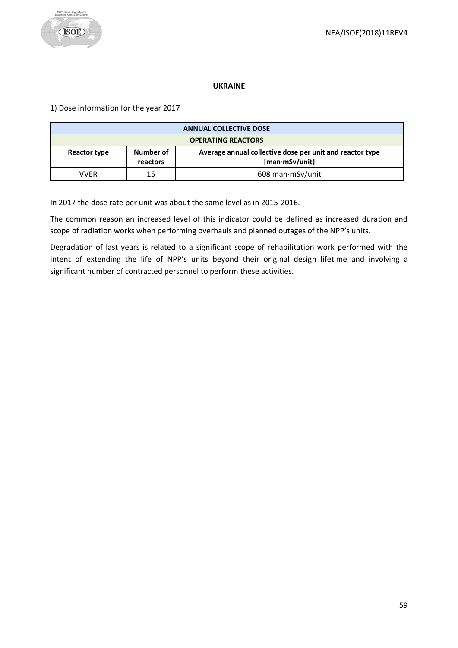

#### **UKRAINE**

<span id="page-58-0"></span>1) Dose information for the year 2017

| <b>ANNUAL COLLECTIVE DOSE</b>                           |    |                                                          |
|---------------------------------------------------------|----|----------------------------------------------------------|
| <b>OPERATING REACTORS</b>                               |    |                                                          |
| Number of<br>Reactor type<br>[man·mSv/unit]<br>reactors |    | Average annual collective dose per unit and reactor type |
| VVFR                                                    | 15 | 608 man mSv/unit                                         |

In 2017 the dose rate per unit was about the same level as in 2015-2016.

The common reason an increased level of this indicator could be defined as increased duration and scope of radiation works when performing overhauls and planned outages of the NPP's units.

Degradation of last years is related to a significant scope of rehabilitation work performed with the intent of extending the life of NPP's units beyond their original design lifetime and involving a significant number of contracted personnel to perform these activities.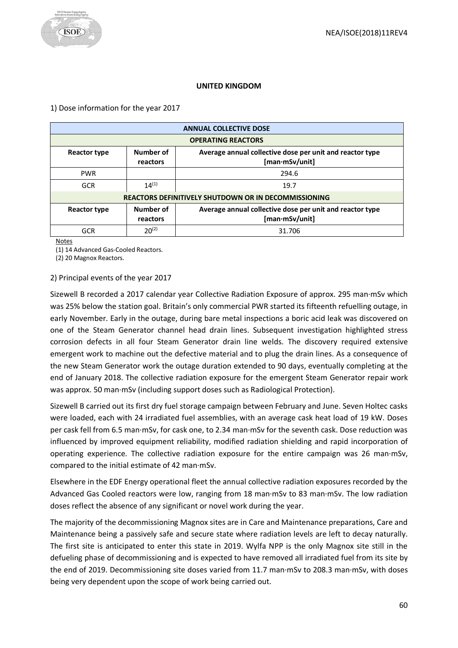#### **UNITED KINGDOM**

<span id="page-59-0"></span>1) Dose information for the year 2017

| <b>ANNUAL COLLECTIVE DOSE</b> |                                                                                                     |                           |  |
|-------------------------------|-----------------------------------------------------------------------------------------------------|---------------------------|--|
|                               |                                                                                                     | <b>OPERATING REACTORS</b> |  |
| <b>Reactor type</b>           | Number of<br>Average annual collective dose per unit and reactor type<br>[man·mSv/unit]<br>reactors |                           |  |
| <b>PWR</b>                    |                                                                                                     | 294.6                     |  |
| <b>GCR</b>                    | $14^{(1)}$                                                                                          | 19.7                      |  |
|                               | <b>REACTORS DEFINITIVELY SHUTDOWN OR IN DECOMMISSIONING</b>                                         |                           |  |
| Reactor type                  | Number of<br>Average annual collective dose per unit and reactor type<br>[man·mSv/unit]<br>reactors |                           |  |
| GCR                           | $20^{(2)}$                                                                                          | 31.706                    |  |

Notes

(1) 14 Advanced Gas-Cooled Reactors.

(2) 20 Magnox Reactors.

2) Principal events of the year 2017

Sizewell B recorded a 2017 calendar year Collective Radiation Exposure of approx. 295 man·mSv which was 25% below the station goal. Britain's only commercial PWR started its fifteenth refuelling outage, in early November. Early in the outage, during bare metal inspections a boric acid leak was discovered on one of the Steam Generator channel head drain lines. Subsequent investigation highlighted stress corrosion defects in all four Steam Generator drain line welds. The discovery required extensive emergent work to machine out the defective material and to plug the drain lines. As a consequence of the new Steam Generator work the outage duration extended to 90 days, eventually completing at the end of January 2018. The collective radiation exposure for the emergent Steam Generator repair work was approx. 50 man·mSv (including support doses such as Radiological Protection).

Sizewell B carried out its first dry fuel storage campaign between February and June. Seven Holtec casks were loaded, each with 24 irradiated fuel assemblies, with an average cask heat load of 19 kW. Doses per cask fell from 6.5 man·mSv, for cask one, to 2.34 man·mSv for the seventh cask. Dose reduction was influenced by improved equipment reliability, modified radiation shielding and rapid incorporation of operating experience. The collective radiation exposure for the entire campaign was 26 man·mSv, compared to the initial estimate of 42 man·mSv.

Elsewhere in the EDF Energy operational fleet the annual collective radiation exposures recorded by the Advanced Gas Cooled reactors were low, ranging from 18 man·mSv to 83 man·mSv. The low radiation doses reflect the absence of any significant or novel work during the year.

The majority of the decommissioning Magnox sites are in Care and Maintenance preparations, Care and Maintenance being a passively safe and secure state where radiation levels are left to decay naturally. The first site is anticipated to enter this state in 2019. Wylfa NPP is the only Magnox site still in the defueling phase of decommissioning and is expected to have removed all irradiated fuel from its site by the end of 2019. Decommissioning site doses varied from 11.7 man·mSv to 208.3 man·mSv, with doses being very dependent upon the scope of work being carried out.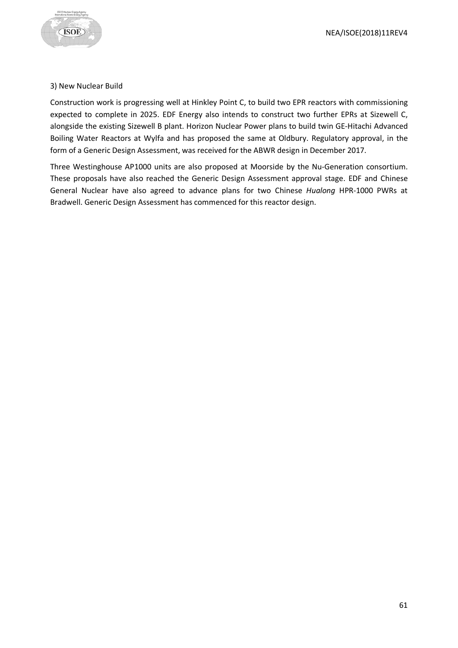

#### 3) New Nuclear Build

Construction work is progressing well at Hinkley Point C, to build two EPR reactors with commissioning expected to complete in 2025. EDF Energy also intends to construct two further EPRs at Sizewell C, alongside the existing Sizewell B plant. Horizon Nuclear Power plans to build twin GE-Hitachi Advanced Boiling Water Reactors at Wylfa and has proposed the same at Oldbury. Regulatory approval, in the form of a Generic Design Assessment, was received for the ABWR design in December 2017.

Three Westinghouse AP1000 units are also proposed at Moorside by the Nu-Generation consortium. These proposals have also reached the Generic Design Assessment approval stage. EDF and Chinese General Nuclear have also agreed to advance plans for two Chinese *Hualong* HPR-1000 PWRs at Bradwell. Generic Design Assessment has commenced for this reactor design.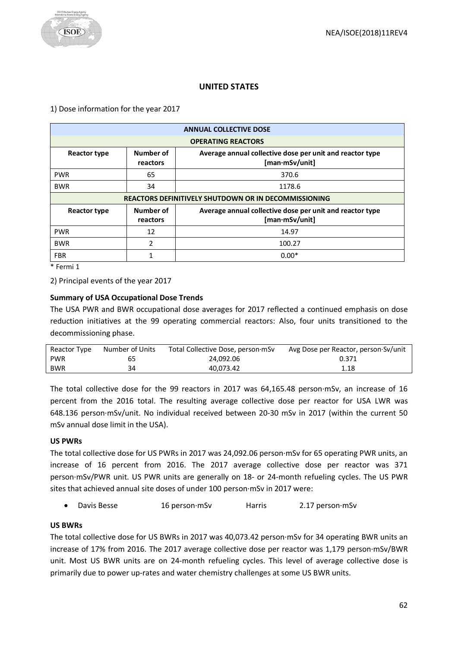# **UNITED STATES**

<span id="page-61-0"></span>1) Dose information for the year 2017

| <b>ANNUAL COLLECTIVE DOSE</b>                               |                                                                                                     |                           |
|-------------------------------------------------------------|-----------------------------------------------------------------------------------------------------|---------------------------|
|                                                             |                                                                                                     | <b>OPERATING REACTORS</b> |
| <b>Reactor type</b>                                         | Number of<br>Average annual collective dose per unit and reactor type<br>[man·mSv/unit]<br>reactors |                           |
| <b>PWR</b>                                                  | 65                                                                                                  | 370.6                     |
| <b>BWR</b>                                                  | 34                                                                                                  | 1178.6                    |
| <b>REACTORS DEFINITIVELY SHUTDOWN OR IN DECOMMISSIONING</b> |                                                                                                     |                           |
| <b>Reactor type</b>                                         | Number of<br>Average annual collective dose per unit and reactor type<br>[man·mSv/unit]<br>reactors |                           |
| <b>PWR</b>                                                  | 12                                                                                                  | 14.97                     |
| <b>BWR</b>                                                  | 2                                                                                                   | 100.27                    |
| <b>FBR</b>                                                  | 1                                                                                                   | $0.00*$                   |

\* Fermi 1

2) Principal events of the year 2017

## **Summary of USA Occupational Dose Trends**

The USA PWR and BWR occupational dose averages for 2017 reflected a continued emphasis on dose reduction initiatives at the 99 operating commercial reactors: Also, four units transitioned to the decommissioning phase.

| Reactor Type | Number of Units | Total Collective Dose, person mSv | Avg Dose per Reactor, person Sv/unit |
|--------------|-----------------|-----------------------------------|--------------------------------------|
| <b>PWR</b>   | 65              | 24.092.06                         | 0.371                                |
| <b>BWR</b>   | 34              | 40.073.42                         | 1.18                                 |

The total collective dose for the 99 reactors in 2017 was 64,165.48 person·mSv, an increase of 16 percent from the 2016 total. The resulting average collective dose per reactor for USA LWR was 648.136 person·mSv/unit. No individual received between 20-30 mSv in 2017 (within the current 50 mSv annual dose limit in the USA).

## **US PWRs**

The total collective dose for US PWRs in 2017 was 24,092.06 person·mSv for 65 operating PWR units, an increase of 16 percent from 2016. The 2017 average collective dose per reactor was 371 person·mSv/PWR unit. US PWR units are generally on 18- or 24-month refueling cycles. The US PWR sites that achieved annual site doses of under 100 person·mSv in 2017 were:

• Davis Besse 16 person·mSv Harris 2.17 person·mSv

## **US BWRs**

The total collective dose for US BWRs in 2017 was 40,073.42 person·mSv for 34 operating BWR units an increase of 17% from 2016. The 2017 average collective dose per reactor was 1,179 person·mSv/BWR unit. Most US BWR units are on 24-month refueling cycles. This level of average collective dose is primarily due to power up-rates and water chemistry challenges at some US BWR units.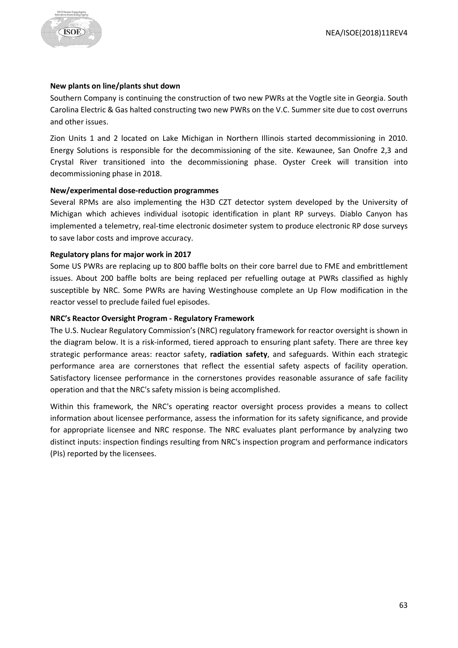

#### **New plants on line/plants shut down**

Southern Company is continuing the construction of two new PWRs at the Vogtle site in Georgia. South Carolina Electric & Gas halted constructing two new PWRs on the V.C. Summer site due to cost overruns and other issues.

Zion Units 1 and 2 located on Lake Michigan in Northern Illinois started decommissioning in 2010. Energy Solutions is responsible for the decommissioning of the site. Kewaunee, San Onofre 2,3 and Crystal River transitioned into the decommissioning phase. Oyster Creek will transition into decommissioning phase in 2018.

#### **New/experimental dose-reduction programmes**

Several RPMs are also implementing the H3D CZT detector system developed by the University of Michigan which achieves individual isotopic identification in plant RP surveys. Diablo Canyon has implemented a telemetry, real-time electronic dosimeter system to produce electronic RP dose surveys to save labor costs and improve accuracy.

#### **Regulatory plans for major work in 2017**

Some US PWRs are replacing up to 800 baffle bolts on their core barrel due to FME and embrittlement issues. About 200 baffle bolts are being replaced per refuelling outage at PWRs classified as highly susceptible by NRC. Some PWRs are having Westinghouse complete an Up Flow modification in the reactor vessel to preclude failed fuel episodes.

#### **NRC's Reactor Oversight Program - Regulatory Framework**

The U.S. Nuclear Regulatory Commission's (NRC) regulatory framework for reactor oversight is shown in the diagram below. It is a risk-informed, tiered approach to ensuring plant safety. There are three key strategic performance areas: reactor safety, **radiation safety**, and safeguards. Within each strategic performance area are cornerstones that reflect the essential safety aspects of facility operation. Satisfactory licensee performance in the cornerstones provides reasonable assurance of safe facility operation and that the NRC's safety mission is being accomplished.

Within this framework, the NRC's operating reactor oversight process provides a means to collect information about licensee performance, assess the information for its safety significance, and provide for appropriate licensee and NRC response. The NRC evaluates plant performance by analyzing two distinct inputs: inspection findings resulting from NRC's inspection program and performance indicators (PIs) reported by the licensees.